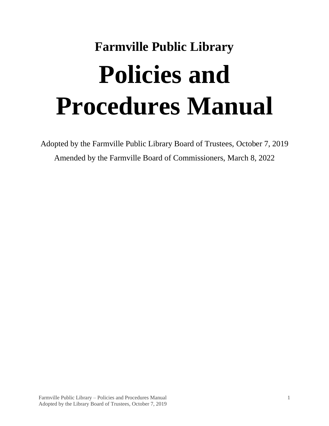# **Farmville Public Library Policies and Procedures Manual**

Adopted by the Farmville Public Library Board of Trustees, October 7, 2019 Amended by the Farmville Board of Commissioners, March 8, 2022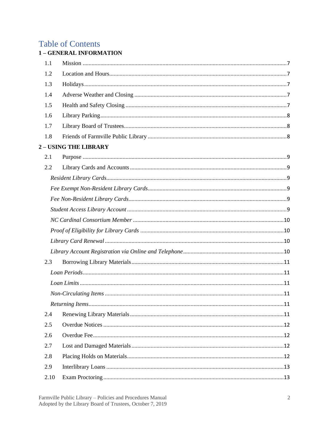# **Table of Contents**

|      | <b>1-GENERAL INFORMATION</b> |
|------|------------------------------|
| 1.1  |                              |
| 1.2  |                              |
| 1.3  |                              |
| 1.4  |                              |
| 1.5  |                              |
| 1.6  |                              |
| 1.7  |                              |
| 1.8  |                              |
|      | <b>2-USING THE LIBRARY</b>   |
| 2.1  |                              |
| 2.2  |                              |
|      |                              |
|      |                              |
|      |                              |
|      |                              |
|      |                              |
|      |                              |
|      |                              |
|      |                              |
| 2.3  |                              |
|      |                              |
|      |                              |
|      |                              |
|      |                              |
| 2.4  |                              |
| 2.5  |                              |
| 2.6  |                              |
| 2.7  |                              |
| 2.8  |                              |
| 2.9  |                              |
| 2.10 |                              |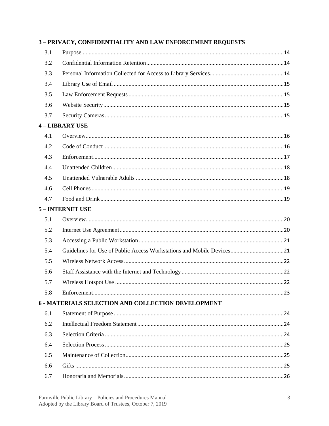# 3 - PRIVACY, CONFIDENTIALITY AND LAW ENFORCEMENT REQUESTS

| 3.1 |                                                           |  |
|-----|-----------------------------------------------------------|--|
| 3.2 |                                                           |  |
| 3.3 |                                                           |  |
| 3.4 |                                                           |  |
| 3.5 |                                                           |  |
| 3.6 |                                                           |  |
| 3.7 |                                                           |  |
|     | <b>4-LIBRARY USE</b>                                      |  |
| 4.1 |                                                           |  |
| 4.2 |                                                           |  |
| 4.3 |                                                           |  |
| 4.4 |                                                           |  |
| 4.5 |                                                           |  |
| 4.6 |                                                           |  |
| 4.7 |                                                           |  |
|     | 5 - INTERNET USE                                          |  |
| 5.1 |                                                           |  |
| 5.2 |                                                           |  |
| 5.3 |                                                           |  |
| 5.4 |                                                           |  |
| 5.5 |                                                           |  |
| 5.6 |                                                           |  |
| 5.7 |                                                           |  |
| 5.8 |                                                           |  |
|     | <b>6 - MATERIALS SELECTION AND COLLECTION DEVELOPMENT</b> |  |
| 6.1 |                                                           |  |
| 6.2 |                                                           |  |
| 6.3 |                                                           |  |
| 6.4 |                                                           |  |
| 6.5 |                                                           |  |
| 6.6 |                                                           |  |
| 6.7 |                                                           |  |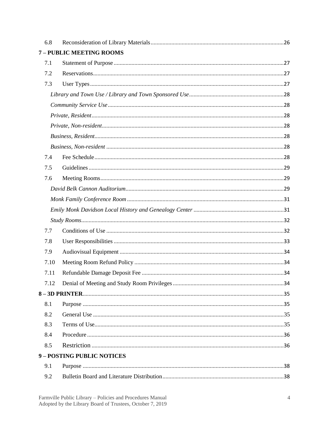| 6.8  |                            |  |
|------|----------------------------|--|
|      | 7 - PUBLIC MEETING ROOMS   |  |
| 7.1  |                            |  |
| 7.2  |                            |  |
| 7.3  |                            |  |
|      |                            |  |
|      |                            |  |
|      |                            |  |
|      |                            |  |
|      |                            |  |
|      |                            |  |
| 7.4  |                            |  |
| 7.5  |                            |  |
| 7.6  |                            |  |
|      |                            |  |
|      |                            |  |
|      |                            |  |
|      |                            |  |
| 7.7  |                            |  |
| 7.8  |                            |  |
| 7.9  |                            |  |
| 7.10 |                            |  |
| 7.11 |                            |  |
| 7.12 |                            |  |
|      |                            |  |
| 8.1  |                            |  |
| 8.2  |                            |  |
| 8.3  |                            |  |
| 8.4  |                            |  |
| 8.5  |                            |  |
|      | 9 - POSTING PUBLIC NOTICES |  |
| 9.1  |                            |  |
| 9.2  |                            |  |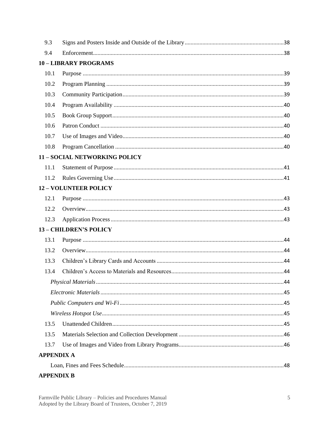| 9.3               |                               |  |
|-------------------|-------------------------------|--|
| 9.4               |                               |  |
|                   | <b>10 - LIBRARY PROGRAMS</b>  |  |
| 10.1              |                               |  |
| 10.2              |                               |  |
| 10.3              |                               |  |
| 10.4              |                               |  |
| 10.5              |                               |  |
| 10.6              |                               |  |
| 10.7              |                               |  |
| 10.8              |                               |  |
|                   | 11 - SOCIAL NETWORKING POLICY |  |
| 11.1              |                               |  |
| 11.2              |                               |  |
|                   | <b>12-VOLUNTEER POLICY</b>    |  |
| 12.1              |                               |  |
| 12.2              |                               |  |
| 12.3              |                               |  |
|                   | <b>13 - CHILDREN'S POLICY</b> |  |
| 13.1              |                               |  |
| 13.2              |                               |  |
| 13.3              |                               |  |
| 13.4              |                               |  |
|                   |                               |  |
|                   |                               |  |
|                   |                               |  |
|                   |                               |  |
| 13.5              |                               |  |
| 13.5              |                               |  |
| 13.7              |                               |  |
| <b>APPENDIX A</b> |                               |  |
|                   |                               |  |

#### **APPENDIX B**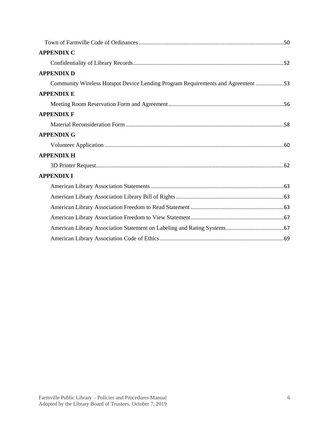| <b>APPENDIX C</b>                                                               |  |
|---------------------------------------------------------------------------------|--|
|                                                                                 |  |
| <b>APPENDIX D</b>                                                               |  |
| Community Wireless Hotspot Device Lending Program Requirements and Agreement 53 |  |
| <b>APPENDIX E</b>                                                               |  |
|                                                                                 |  |
| <b>APPENDIX F</b>                                                               |  |
|                                                                                 |  |
| <b>APPENDIX G</b>                                                               |  |
|                                                                                 |  |
| <b>APPENDIX H</b>                                                               |  |
|                                                                                 |  |
| <b>APPENDIX I</b>                                                               |  |
|                                                                                 |  |
|                                                                                 |  |
|                                                                                 |  |
|                                                                                 |  |
|                                                                                 |  |
|                                                                                 |  |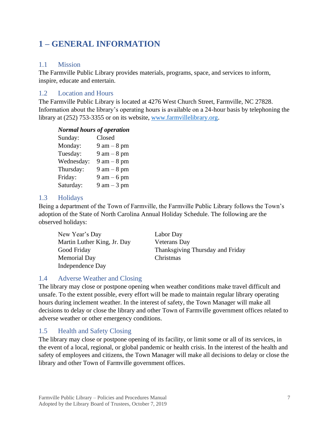# <span id="page-6-0"></span>**1 – GENERAL INFORMATION**

#### <span id="page-6-1"></span>1.1 Mission

The Farmville Public Library provides materials, programs, space, and services to inform, inspire, educate and entertain.

# <span id="page-6-2"></span>1.2 Location and Hours

The Farmville Public Library is located at 4276 West Church Street, Farmville, NC 27828. Information about the library's operating hours is available on a 24-hour basis by telephoning the library at (252) 753-3355 or on its website, [www.farmvillelibrary.org.](http://www.farmvillelibrary.org/)

#### *Normal hours of operation*

| Sunday:    | Closed                        |
|------------|-------------------------------|
| Monday:    | $9 \text{ am} - 8 \text{ pm}$ |
| Tuesday:   | $9 \text{ am} - 8 \text{ pm}$ |
| Wednesday: | $9 \text{ am} - 8 \text{ pm}$ |
| Thursday:  | $9 \text{ am} - 8 \text{ pm}$ |
| Friday:    | $9 \text{ am} - 6 \text{ pm}$ |
| Saturday:  | $9 \text{ am} - 3 \text{ pm}$ |

## <span id="page-6-3"></span>1.3 Holidays

Being a department of the Town of Farmville, the Farmville Public Library follows the Town's adoption of the State of North Carolina Annual Holiday Schedule. The following are the observed holidays:

| New Year's Day              | Labor Day                        |
|-----------------------------|----------------------------------|
| Martin Luther King, Jr. Day | Veterans Day                     |
| Good Friday                 | Thanksgiving Thursday and Friday |
| <b>Memorial Day</b>         | Christmas                        |
| Independence Day            |                                  |

## <span id="page-6-4"></span>1.4 Adverse Weather and Closing

The library may close or postpone opening when weather conditions make travel difficult and unsafe. To the extent possible, every effort will be made to maintain regular library operating hours during inclement weather. In the interest of safety, the Town Manager will make all decisions to delay or close the library and other Town of Farmville government offices related to adverse weather or other emergency conditions.

# <span id="page-6-5"></span>1.5 Health and Safety Closing

The library may close or postpone opening of its facility, or limit some or all of its services, in the event of a local, regional, or global pandemic or health crisis. In the interest of the health and safety of employees and citizens, the Town Manager will make all decisions to delay or close the library and other Town of Farmville government offices.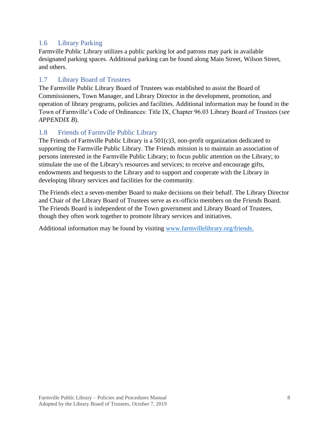# <span id="page-7-0"></span>1.6 Library Parking

Farmville Public Library utilizes a public parking lot and patrons may park in available designated parking spaces. Additional parking can be found along Main Street, Wilson Street, and others.

## <span id="page-7-1"></span>1.7 Library Board of Trustees

The Farmville Public Library Board of Trustees was established to assist the Board of Commissioners, Town Manager, and Library Director in the development, promotion, and operation of library programs, policies and facilities. Additional information may be found in the Town of Farmville's Code of Ordinances: Title IX, Chapter 96.03 Library Board of Trustees (*see APPENDIX B*).

## <span id="page-7-2"></span>1.8 Friends of Farmville Public Library

The Friends of Farmville Public Library is a 501(c)3, non-profit organization dedicated to supporting the Farmville Public Library. The Friends mission is to maintain an association of persons interested in the Farmville Public Library; to focus public attention on the Library; to stimulate the use of the Library's resources and services; to receive and encourage gifts, endowments and bequests to the Library and to support and cooperate with the Library in developing library services and facilities for the community.

The Friends elect a seven-member Board to make decisions on their behalf. The Library Director and Chair of the Library Board of Trustees serve as ex-officio members on the Friends Board. The Friends Board is independent of the Town government and Library Board of Trustees, though they often work together to promote library services and initiatives.

Additional information may be found by visiting [www.farmvillelibrary.org/friends.](http://www.farmvillelibrary.org/friends)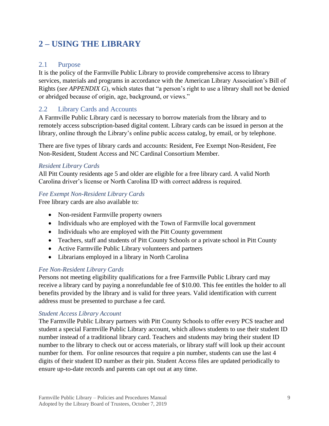# <span id="page-8-0"></span>**2 – USING THE LIBRARY**

# <span id="page-8-1"></span>2.1 Purpose

It is the policy of the Farmville Public Library to provide comprehensive access to library services, materials and programs in accordance with the American Library Association's Bill of Rights (*see APPENDIX G*), which states that "a person's right to use a library shall not be denied or abridged because of origin, age, background, or views."

# <span id="page-8-2"></span>2.2 Library Cards and Accounts

A Farmville Public Library card is necessary to borrow materials from the library and to remotely access subscription-based digital content. Library cards can be issued in person at the library, online through the Library's online public access catalog, by email, or by telephone.

There are five types of library cards and accounts: Resident, Fee Exempt Non-Resident, Fee Non-Resident, Student Access and NC Cardinal Consortium Member.

## <span id="page-8-3"></span>*Resident Library Cards*

All Pitt County residents age 5 and older are eligible for a free library card. A valid North Carolina driver's license or North Carolina ID with correct address is required.

#### <span id="page-8-4"></span>*Fee Exempt Non-Resident Library Cards*

Free library cards are also available to:

- Non-resident Farmville property owners
- Individuals who are employed with the Town of Farmville local government
- Individuals who are employed with the Pitt County government
- Teachers, staff and students of Pitt County Schools or a private school in Pitt County
- Active Farmville Public Library volunteers and partners
- Librarians employed in a library in North Carolina

## <span id="page-8-5"></span>*Fee Non-Resident Library Cards*

Persons not meeting eligibility qualifications for a free Farmville Public Library card may receive a library card by paying a nonrefundable fee of \$10.00. This fee entitles the holder to all benefits provided by the library and is valid for three years. Valid identification with current address must be presented to purchase a fee card.

#### <span id="page-8-6"></span>*Student Access Library Account*

The Farmville Public Library partners with Pitt County Schools to offer every PCS teacher and student a special Farmville Public Library account, which allows students to use their student ID number instead of a traditional library card. Teachers and students may bring their student ID number to the library to check out or access materials, or library staff will look up their account number for them. For online resources that require a pin number, students can use the last 4 digits of their student ID number as their pin. Student Access files are updated periodically to ensure up-to-date records and parents can opt out at any time.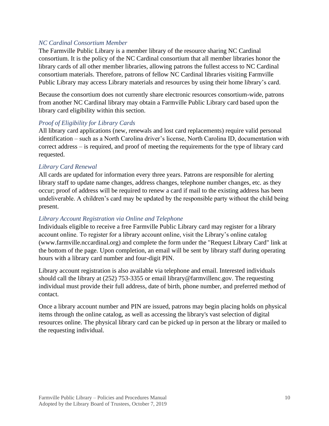#### <span id="page-9-0"></span>*NC Cardinal Consortium Member*

The Farmville Public Library is a member library of the resource sharing NC Cardinal consortium. It is the policy of the NC Cardinal consortium that all member libraries honor the library cards of all other member libraries, allowing patrons the fullest access to NC Cardinal consortium materials. Therefore, patrons of fellow NC Cardinal libraries visiting Farmville Public Library may access Library materials and resources by using their home library's card.

Because the consortium does not currently share electronic resources consortium-wide, patrons from another NC Cardinal library may obtain a Farmville Public Library card based upon the library card eligibility within this section.

#### <span id="page-9-1"></span>*Proof of Eligibility for Library Cards*

All library card applications (new, renewals and lost card replacements) require valid personal identification – such as a North Carolina driver's license, North Carolina ID, documentation with correct address – is required, and proof of meeting the requirements for the type of library card requested.

#### <span id="page-9-2"></span>*Library Card Renewal*

All cards are updated for information every three years. Patrons are responsible for alerting library staff to update name changes, address changes, telephone number changes, etc. as they occur; proof of address will be required to renew a card if mail to the existing address has been undeliverable. A children's card may be updated by the responsible party without the child being present.

## <span id="page-9-3"></span>*Library Account Registration via Online and Telephone*

Individuals eligible to receive a free Farmville Public Library card may register for a library account online. To register for a library account online, visit the Library's online catalog (www.farmville.nccardinal.org) and complete the form under the "Request Library Card" link at the bottom of the page. Upon completion, an email will be sent by library staff during operating hours with a library card number and four-digit PIN.

Library account registration is also available via telephone and email. Interested individuals should call the library at (252) 753-3355 or email library@farmvillenc.gov. The requesting individual must provide their full address, date of birth, phone number, and preferred method of contact.

Once a library account number and PIN are issued, patrons may begin placing holds on physical items through the online catalog, as well as accessing the library's vast selection of digital resources online. The physical library card can be picked up in person at the library or mailed to the requesting individual.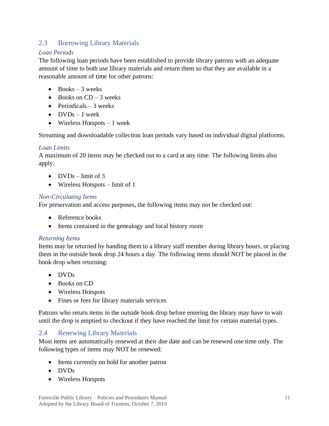# <span id="page-10-0"></span>2.3 Borrowing Library Materials

#### <span id="page-10-1"></span>*Loan Periods*

The following loan periods have been established to provide library patrons with an adequate amount of time to both use library materials and return them so that they are available in a reasonable amount of time for other patrons:

- Books  $-3$  weeks
- Books on  $CD 3$  weeks
- Periodicals  $-3$  weeks
- $DVDs 1$  week
- Wireless Hotspots  $-1$  week

Streaming and downloadable collection loan periods vary based on individual digital platforms.

#### <span id="page-10-2"></span>*Loan Limits*

A maximum of 20 items may be checked out to a card at any time. The following limits also apply:

- DVDs limit of 3
- Wireless Hotspots limit of 1

#### <span id="page-10-3"></span>*Non-Circulating Items*

For preservation and access purposes, the following items may not be checked out:

- Reference books
- Items contained in the genealogy and local history room

#### <span id="page-10-4"></span>*Returning Items*

Items may be returned by handing them to a library staff member during library hours, or placing them in the outside book drop 24 hours a day. The following items should NOT be placed in the book drop when returning:

- DVDs
- Books on CD
- Wireless Hotspots
- Fines or fees for library materials services

Patrons who return items in the outside book drop before entering the library may have to wait until the drop is emptied to checkout if they have reached the limit for certain material types.

## <span id="page-10-5"></span>2.4 Renewing Library Materials

Most items are automatically renewed at their due date and can be renewed one time only. The following types of items may NOT be renewed:

- Items currently on hold for another patron
- DVDs
- Wireless Hotspots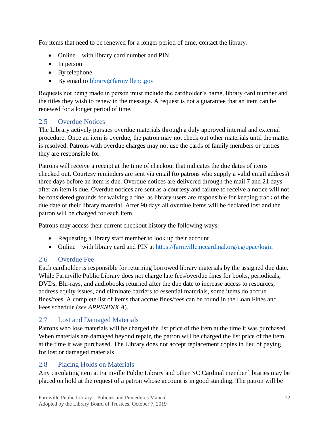For items that need to be renewed for a longer period of time, contact the library:

- Online with library card number and PIN
- In person
- By telephone
- By email to [library@farmvillenc.gov](mailto:library@farmvillenc.gov)

Requests not being made in person must include the cardholder's name, library card number and the titles they wish to renew in the message. A request is not a guarantee that an item can be renewed for a longer period of time.

# <span id="page-11-0"></span>2.5 Overdue Notices

The Library actively pursues overdue materials through a duly approved internal and external procedure. Once an item is overdue, the patron may not check out other materials until the matter is resolved. Patrons with overdue charges may not use the cards of family members or parties they are responsible for.

Patrons will receive a receipt at the time of checkout that indicates the due dates of items checked out. Courtesy reminders are sent via email (to patrons who supply a valid email address) three days before an item is due. Overdue notices are delivered through the mail 7 and 21 days after an item is due. Overdue notices are sent as a courtesy and failure to receive a notice will not be considered grounds for waiving a fine, as library users are responsible for keeping track of the due date of their library material. After 90 days all overdue items will be declared lost and the patron will be charged for each item.

Patrons may access their current checkout history the following ways:

- Requesting a library staff member to look up their account
- Online with library card and PIN at<https://farmville.nccardinal.org/eg/opac/login>

# <span id="page-11-1"></span>2.6 Overdue Fee

Each cardholder is responsible for returning borrowed library materials by the assigned due date. While Farmville Public Library does not charge late fees/overdue fines for books, periodicals, DVDs, Blu-rays, and audiobooks returned after the due date to increase access to resources, address equity issues, and eliminate barriers to essential materials, some items do accrue fines/fees. A complete list of items that accrue fines/fees can be found in the Loan Fines and Fees schedule (*see APPENDIX A*).

# <span id="page-11-2"></span>2.7 Lost and Damaged Materials

Patrons who lose materials will be charged the list price of the item at the time it was purchased. When materials are damaged beyond repair, the patron will be charged the list price of the item at the time it was purchased. The Library does not accept replacement copies in lieu of paying for lost or damaged materials.

# <span id="page-11-3"></span>2.8 Placing Holds on Materials

Any circulating item at Farmville Public Library and other NC Cardinal member libraries may be placed on hold at the request of a patron whose account is in good standing. The patron will be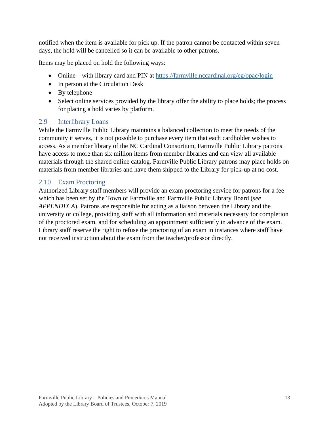notified when the item is available for pick up. If the patron cannot be contacted within seven days, the hold will be cancelled so it can be available to other patrons.

Items may be placed on hold the following ways:

- Online with library card and PIN at<https://farmville.nccardinal.org/eg/opac/login>
- In person at the Circulation Desk
- By telephone
- Select online services provided by the library offer the ability to place holds; the process for placing a hold varies by platform.

# <span id="page-12-0"></span>2.9 Interlibrary Loans

While the Farmville Public Library maintains a balanced collection to meet the needs of the community it serves, it is not possible to purchase every item that each cardholder wishes to access. As a member library of the NC Cardinal Consortium, Farmville Public Library patrons have access to more than six million items from member libraries and can view all available materials through the shared online catalog. Farmville Public Library patrons may place holds on materials from member libraries and have them shipped to the Library for pick-up at no cost.

# <span id="page-12-1"></span>2.10 Exam Proctoring

Authorized Library staff members will provide an exam proctoring service for patrons for a fee which has been set by the Town of Farmville and Farmville Public Library Board (*see APPENDIX A*). Patrons are responsible for acting as a liaison between the Library and the university or college, providing staff with all information and materials necessary for completion of the proctored exam, and for scheduling an appointment sufficiently in advance of the exam. Library staff reserve the right to refuse the proctoring of an exam in instances where staff have not received instruction about the exam from the teacher/professor directly.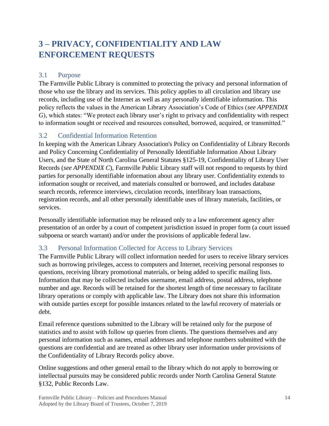# <span id="page-13-0"></span>**3 – PRIVACY, CONFIDENTIALITY AND LAW ENFORCEMENT REQUESTS**

# <span id="page-13-1"></span>3.1 Purpose

The Farmville Public Library is committed to protecting the privacy and personal information of those who use the library and its services. This policy applies to all circulation and library use records, including use of the Internet as well as any personally identifiable information. This policy reflects the values in the American Library Association's Code of Ethics (*see APPENDIX G*), which states: "We protect each library user's right to privacy and confidentiality with respect to information sought or received and resources consulted, borrowed, acquired, or transmitted."

# <span id="page-13-2"></span>3.2 Confidential Information Retention

In keeping with the American Library Association's Policy on Confidentiality of Library Records and Policy Concerning Confidentiality of Personally Identifiable Information About Library Users, and the State of North Carolina General Statutes §125-19, Confidentiality of Library User Records (*see APPENDIX C*), Farmville Public Library staff will not respond to requests by third parties for personally identifiable information about any library user. Confidentiality extends to information sought or received, and materials consulted or borrowed, and includes database search records, reference interviews, circulation records, interlibrary loan transactions, registration records, and all other personally identifiable uses of library materials, facilities, or services.

Personally identifiable information may be released only to a law enforcement agency after presentation of an order by a court of competent jurisdiction issued in proper form (a court issued subpoena or search warrant) and/or under the provisions of applicable federal law.

# <span id="page-13-3"></span>3.3 Personal Information Collected for Access to Library Services

The Farmville Public Library will collect information needed for users to receive library services such as borrowing privileges, access to computers and Internet, receiving personal responses to questions, receiving library promotional materials, or being added to specific mailing lists. Information that may be collected includes username, email address, postal address, telephone number and age. Records will be retained for the shortest length of time necessary to facilitate library operations or comply with applicable law. The Library does not share this information with outside parties except for possible instances related to the lawful recovery of materials or debt.

Email reference questions submitted to the Library will be retained only for the purpose of statistics and to assist with follow up queries from clients. The questions themselves and any personal information such as names, email addresses and telephone numbers submitted with the questions are confidential and are treated as other library user information under provisions of the Confidentiality of Library Records policy above.

Online suggestions and other general email to the library which do not apply to borrowing or intellectual pursuits may be considered public records under North Carolina General Statute §132, Public Records Law.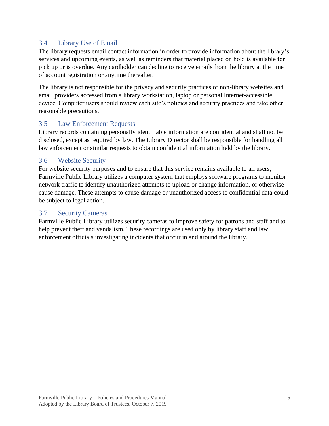# <span id="page-14-0"></span>3.4 Library Use of Email

The library requests email contact information in order to provide information about the library's services and upcoming events, as well as reminders that material placed on hold is available for pick up or is overdue. Any cardholder can decline to receive emails from the library at the time of account registration or anytime thereafter.

The library is not responsible for the privacy and security practices of non-library websites and email providers accessed from a library workstation, laptop or personal Internet-accessible device. Computer users should review each site's policies and security practices and take other reasonable precautions.

## <span id="page-14-1"></span>3.5 Law Enforcement Requests

Library records containing personally identifiable information are confidential and shall not be disclosed, except as required by law. The Library Director shall be responsible for handling all law enforcement or similar requests to obtain confidential information held by the library.

#### <span id="page-14-2"></span>3.6 Website Security

For website security purposes and to ensure that this service remains available to all users, Farmville Public Library utilizes a computer system that employs software programs to monitor network traffic to identify unauthorized attempts to upload or change information, or otherwise cause damage. These attempts to cause damage or unauthorized access to confidential data could be subject to legal action.

#### <span id="page-14-3"></span>3.7 Security Cameras

Farmville Public Library utilizes security cameras to improve safety for patrons and staff and to help prevent theft and vandalism. These recordings are used only by library staff and law enforcement officials investigating incidents that occur in and around the library.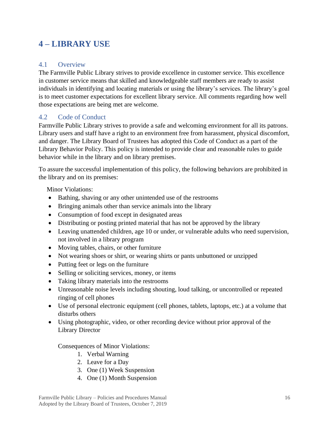# <span id="page-15-0"></span>**4 – LIBRARY USE**

# <span id="page-15-1"></span>4.1 Overview

The Farmville Public Library strives to provide excellence in customer service. This excellence in customer service means that skilled and knowledgeable staff members are ready to assist individuals in identifying and locating materials or using the library's services. The library's goal is to meet customer expectations for excellent library service. All comments regarding how well those expectations are being met are welcome.

# <span id="page-15-2"></span>4.2 Code of Conduct

Farmville Public Library strives to provide a safe and welcoming environment for all its patrons. Library users and staff have a right to an environment free from harassment, physical discomfort, and danger. The Library Board of Trustees has adopted this Code of Conduct as a part of the Library Behavior Policy. This policy is intended to provide clear and reasonable rules to guide behavior while in the library and on library premises.

To assure the successful implementation of this policy, the following behaviors are prohibited in the library and on its premises:

Minor Violations:

- Bathing, shaving or any other unintended use of the restrooms
- Bringing animals other than service animals into the library
- Consumption of food except in designated areas
- Distributing or posting printed material that has not be approved by the library
- Leaving unattended children, age 10 or under, or vulnerable adults who need supervision, not involved in a library program
- Moving tables, chairs, or other furniture
- Not wearing shoes or shirt, or wearing shirts or pants unbuttoned or unzipped
- Putting feet or legs on the furniture
- Selling or soliciting services, money, or items
- Taking library materials into the restrooms
- Unreasonable noise levels including shouting, loud talking, or uncontrolled or repeated ringing of cell phones
- Use of personal electronic equipment (cell phones, tablets, laptops, etc.) at a volume that disturbs others
- Using photographic, video, or other recording device without prior approval of the Library Director

Consequences of Minor Violations:

- 1. Verbal Warning
- 2. Leave for a Day
- 3. One (1) Week Suspension
- 4. One (1) Month Suspension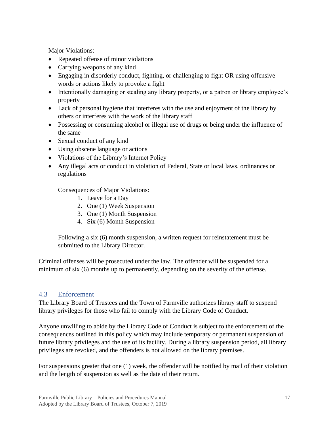Major Violations:

- Repeated offense of minor violations
- Carrying weapons of any kind
- Engaging in disorderly conduct, fighting, or challenging to fight OR using offensive words or actions likely to provoke a fight
- Intentionally damaging or stealing any library property, or a patron or library employee's property
- Lack of personal hygiene that interferes with the use and enjoyment of the library by others or interferes with the work of the library staff
- Possessing or consuming alcohol or illegal use of drugs or being under the influence of the same
- Sexual conduct of any kind
- Using obscene language or actions
- Violations of the Library's Internet Policy
- Any illegal acts or conduct in violation of Federal, State or local laws, ordinances or regulations

Consequences of Major Violations:

- 1. Leave for a Day
- 2. One (1) Week Suspension
- 3. One (1) Month Suspension
- 4. Six (6) Month Suspension

Following a six (6) month suspension, a written request for reinstatement must be submitted to the Library Director.

Criminal offenses will be prosecuted under the law. The offender will be suspended for a minimum of six (6) months up to permanently, depending on the severity of the offense.

## <span id="page-16-0"></span>4.3 Enforcement

The Library Board of Trustees and the Town of Farmville authorizes library staff to suspend library privileges for those who fail to comply with the Library Code of Conduct.

Anyone unwilling to abide by the Library Code of Conduct is subject to the enforcement of the consequences outlined in this policy which may include temporary or permanent suspension of future library privileges and the use of its facility. During a library suspension period, all library privileges are revoked, and the offenders is not allowed on the library premises.

For suspensions greater that one (1) week, the offender will be notified by mail of their violation and the length of suspension as well as the date of their return.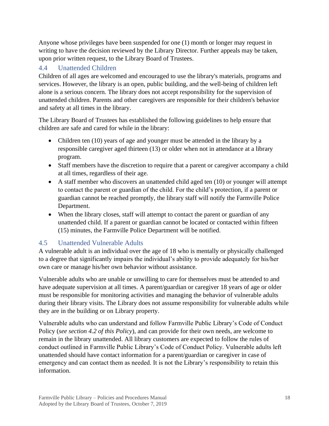Anyone whose privileges have been suspended for one (1) month or longer may request in writing to have the decision reviewed by the Library Director. Further appeals may be taken, upon prior written request, to the Library Board of Trustees.

# <span id="page-17-0"></span>4.4 Unattended Children

Children of all ages are welcomed and encouraged to use the library's materials, programs and services. However, the library is an open, public building, and the well-being of children left alone is a serious concern. The library does not accept responsibility for the supervision of unattended children. Parents and other caregivers are responsible for their children's behavior and safety at all times in the library.

The Library Board of Trustees has established the following guidelines to help ensure that children are safe and cared for while in the library:

- Children ten (10) years of age and younger must be attended in the library by a responsible caregiver aged thirteen (13) or older when not in attendance at a library program.
- Staff members have the discretion to require that a parent or caregiver accompany a child at all times, regardless of their age.
- A staff member who discovers an unattended child aged ten (10) or younger will attempt to contact the parent or guardian of the child. For the child's protection, if a parent or guardian cannot be reached promptly, the library staff will notify the Farmville Police Department.
- When the library closes, staff will attempt to contact the parent or guardian of any unattended child. If a parent or guardian cannot be located or contacted within fifteen (15) minutes, the Farmville Police Department will be notified.

## <span id="page-17-1"></span>4.5 Unattended Vulnerable Adults

A vulnerable adult is an individual over the age of 18 who is mentally or physically challenged to a degree that significantly impairs the individual's ability to provide adequately for his/her own care or manage his/her own behavior without assistance.

Vulnerable adults who are unable or unwilling to care for themselves must be attended to and have adequate supervision at all times. A parent/guardian or caregiver 18 years of age or older must be responsible for monitoring activities and managing the behavior of vulnerable adults during their library visits. The Library does not assume responsibility for vulnerable adults while they are in the building or on Library property.

Vulnerable adults who can understand and follow Farmville Public Library's Code of Conduct Policy (*see section 4.2 of this Policy*), and can provide for their own needs, are welcome to remain in the library unattended. All library customers are expected to follow the rules of conduct outlined in Farmville Public Library's Code of Conduct Policy. Vulnerable adults left unattended should have contact information for a parent/guardian or caregiver in case of emergency and can contact them as needed. It is not the Library's responsibility to retain this information.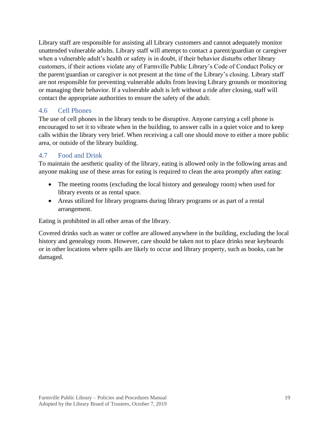Library staff are responsible for assisting all Library customers and cannot adequately monitor unattended vulnerable adults. Library staff will attempt to contact a parent/guardian or caregiver when a vulnerable adult's health or safety is in doubt, if their behavior disturbs other library customers, if their actions violate any of Farmville Public Library's Code of Conduct Policy or the parent/guardian or caregiver is not present at the time of the Library's closing. Library staff are not responsible for preventing vulnerable adults from leaving Library grounds or monitoring or managing their behavior. If a vulnerable adult is left without a ride after closing, staff will contact the appropriate authorities to ensure the safety of the adult.

# <span id="page-18-0"></span>4.6 Cell Phones

The use of cell phones in the library tends to be disruptive. Anyone carrying a cell phone is encouraged to set it to vibrate when in the building, to answer calls in a quiet voice and to keep calls within the library very brief. When receiving a call one should move to either a more public area, or outside of the library building.

# <span id="page-18-1"></span>4.7 Food and Drink

To maintain the aesthetic quality of the library, eating is allowed only in the following areas and anyone making use of these areas for eating is required to clean the area promptly after eating:

- The meeting rooms (excluding the local history and genealogy room) when used for library events or as rental space.
- Areas utilized for library programs during library programs or as part of a rental arrangement.

Eating is prohibited in all other areas of the library.

Covered drinks such as water or coffee are allowed anywhere in the building, excluding the local history and genealogy room. However, care should be taken not to place drinks near keyboards or in other locations where spills are likely to occur and library property, such as books, can be damaged.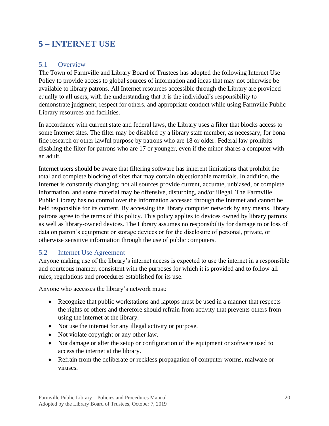# <span id="page-19-0"></span>**5 – INTERNET USE**

## <span id="page-19-1"></span>5.1 Overview

The Town of Farmville and Library Board of Trustees has adopted the following Internet Use Policy to provide access to global sources of information and ideas that may not otherwise be available to library patrons. All Internet resources accessible through the Library are provided equally to all users, with the understanding that it is the individual's responsibility to demonstrate judgment, respect for others, and appropriate conduct while using Farmville Public Library resources and facilities.

In accordance with current state and federal laws, the Library uses a filter that blocks access to some Internet sites. The filter may be disabled by a library staff member, as necessary, for bona fide research or other lawful purpose by patrons who are 18 or older. Federal law prohibits disabling the filter for patrons who are 17 or younger, even if the minor shares a computer with an adult.

Internet users should be aware that filtering software has inherent limitations that prohibit the total and complete blocking of sites that may contain objectionable materials. In addition, the Internet is constantly changing; not all sources provide current, accurate, unbiased, or complete information, and some material may be offensive, disturbing, and/or illegal. The Farmville Public Library has no control over the information accessed through the Internet and cannot be held responsible for its content. By accessing the library computer network by any means, library patrons agree to the terms of this policy. This policy applies to devices owned by library patrons as well as library-owned devices. The Library assumes no responsibility for damage to or loss of data on patron's equipment or storage devices or for the disclosure of personal, private, or otherwise sensitive information through the use of public computers.

# <span id="page-19-2"></span>5.2 Internet Use Agreement

Anyone making use of the library's internet access is expected to use the internet in a responsible and courteous manner, consistent with the purposes for which it is provided and to follow all rules, regulations and procedures established for its use.

Anyone who accesses the library's network must:

- Recognize that public workstations and laptops must be used in a manner that respects the rights of others and therefore should refrain from activity that prevents others from using the internet at the library.
- Not use the internet for any illegal activity or purpose.
- Not violate copyright or any other law.
- Not damage or alter the setup or configuration of the equipment or software used to access the internet at the library.
- Refrain from the deliberate or reckless propagation of computer worms, malware or viruses.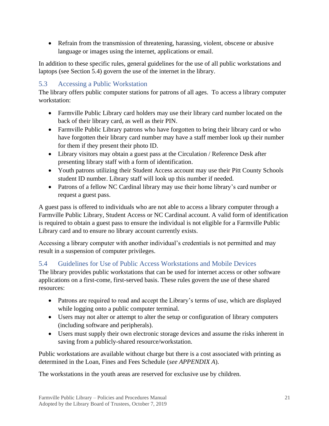• Refrain from the transmission of threatening, harassing, violent, obscene or abusive language or images using the internet, applications or email.

In addition to these specific rules, general guidelines for the use of all public workstations and laptops (see Section 5.4) govern the use of the internet in the library.

# <span id="page-20-0"></span>5.3 Accessing a Public Workstation

The library offers public computer stations for patrons of all ages. To access a library computer workstation:

- Farmville Public Library card holders may use their library card number located on the back of their library card, as well as their PIN.
- Farmville Public Library patrons who have forgotten to bring their library card or who have forgotten their library card number may have a staff member look up their number for them if they present their photo ID.
- Library visitors may obtain a guest pass at the Circulation / Reference Desk after presenting library staff with a form of identification.
- Youth patrons utilizing their Student Access account may use their Pitt County Schools student ID number. Library staff will look up this number if needed.
- Patrons of a fellow NC Cardinal library may use their home library's card number or request a guest pass.

A guest pass is offered to individuals who are not able to access a library computer through a Farmville Public Library, Student Access or NC Cardinal account. A valid form of identification is required to obtain a guest pass to ensure the individual is not eligible for a Farmville Public Library card and to ensure no library account currently exists.

Accessing a library computer with another individual's credentials is not permitted and may result in a suspension of computer privileges.

# <span id="page-20-1"></span>5.4 Guidelines for Use of Public Access Workstations and Mobile Devices

The library provides public workstations that can be used for internet access or other software applications on a first-come, first-served basis. These rules govern the use of these shared resources:

- Patrons are required to read and accept the Library's terms of use, which are displayed while logging onto a public computer terminal.
- Users may not alter or attempt to alter the setup or configuration of library computers (including software and peripherals).
- Users must supply their own electronic storage devices and assume the risks inherent in saving from a publicly-shared resource/workstation.

Public workstations are available without charge but there is a cost associated with printing as determined in the Loan, Fines and Fees Schedule (*see APPENDIX A*).

The workstations in the youth areas are reserved for exclusive use by children.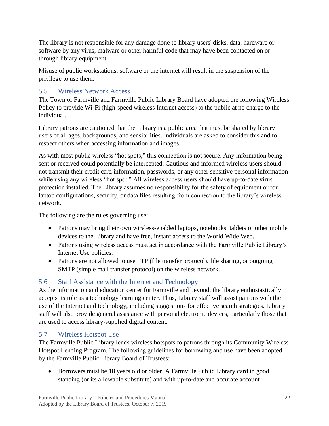The library is not responsible for any damage done to library users' disks, data, hardware or software by any virus, malware or other harmful code that may have been contacted on or through library equipment.

Misuse of public workstations, software or the internet will result in the suspension of the privilege to use them.

# <span id="page-21-0"></span>5.5 Wireless Network Access

The Town of Farmville and Farmville Public Library Board have adopted the following Wireless Policy to provide Wi-Fi (high-speed wireless Internet access) to the public at no charge to the individual.

Library patrons are cautioned that the Library is a public area that must be shared by library users of all ages, backgrounds, and sensibilities. Individuals are asked to consider this and to respect others when accessing information and images.

As with most public wireless "hot spots," this connection is not secure. Any information being sent or received could potentially be intercepted. Cautious and informed wireless users should not transmit their credit card information, passwords, or any other sensitive personal information while using any wireless "hot spot." All wireless access users should have up-to-date virus protection installed. The Library assumes no responsibility for the safety of equipment or for laptop configurations, security, or data files resulting from connection to the library's wireless network.

The following are the rules governing use:

- Patrons may bring their own wireless-enabled laptops, notebooks, tablets or other mobile devices to the Library and have free, instant access to the World Wide Web.
- Patrons using wireless access must act in accordance with the Farmville Public Library's Internet Use policies.
- Patrons are not allowed to use FTP (file transfer protocol), file sharing, or outgoing SMTP (simple mail transfer protocol) on the wireless network.

# <span id="page-21-1"></span>5.6 Staff Assistance with the Internet and Technology

As the information and education center for Farmville and beyond, the library enthusiastically accepts its role as a technology learning center. Thus, Library staff will assist patrons with the use of the Internet and technology, including suggestions for effective search strategies. Library staff will also provide general assistance with personal electronic devices, particularly those that are used to access library-supplied digital content.

# <span id="page-21-2"></span>5.7 Wireless Hotspot Use

The Farmville Public Library lends wireless hotspots to patrons through its Community Wireless Hotspot Lending Program. The following guidelines for borrowing and use have been adopted by the Farmville Public Library Board of Trustees:

• Borrowers must be 18 years old or older. A Farmville Public Library card in good standing (or its allowable substitute) and with up-to-date and accurate account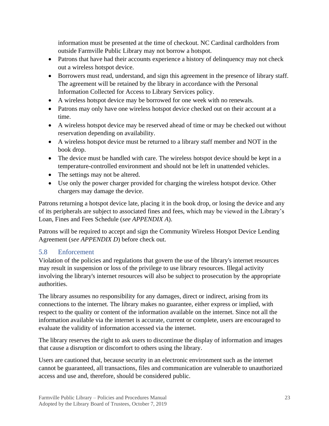information must be presented at the time of checkout. NC Cardinal cardholders from outside Farmville Public Library may not borrow a hotspot.

- Patrons that have had their accounts experience a history of delinquency may not check out a wireless hotspot device.
- Borrowers must read, understand, and sign this agreement in the presence of library staff. The agreement will be retained by the library in accordance with the Personal Information Collected for Access to Library Services policy.
- A wireless hotspot device may be borrowed for one week with no renewals.
- Patrons may only have one wireless hotspot device checked out on their account at a time.
- A wireless hotspot device may be reserved ahead of time or may be checked out without reservation depending on availability.
- A wireless hotspot device must be returned to a library staff member and NOT in the book drop.
- The device must be handled with care. The wireless hotspot device should be kept in a temperature-controlled environment and should not be left in unattended vehicles.
- The settings may not be altered.
- Use only the power charger provided for charging the wireless hotspot device. Other chargers may damage the device.

Patrons returning a hotspot device late, placing it in the book drop, or losing the device and any of its peripherals are subject to associated fines and fees, which may be viewed in the Library's Loan, Fines and Fees Schedule (*see APPENDIX A*).

Patrons will be required to accept and sign the Community Wireless Hotspot Device Lending Agreement (*see APPENDIX D*) before check out.

## <span id="page-22-0"></span>5.8 Enforcement

Violation of the policies and regulations that govern the use of the library's internet resources may result in suspension or loss of the privilege to use library resources. Illegal activity involving the library's internet resources will also be subject to prosecution by the appropriate authorities.

The library assumes no responsibility for any damages, direct or indirect, arising from its connections to the internet. The library makes no guarantee, either express or implied, with respect to the quality or content of the information available on the internet. Since not all the information available via the internet is accurate, current or complete, users are encouraged to evaluate the validity of information accessed via the internet.

The library reserves the right to ask users to discontinue the display of information and images that cause a disruption or discomfort to others using the library.

Users are cautioned that, because security in an electronic environment such as the internet cannot be guaranteed, all transactions, files and communication are vulnerable to unauthorized access and use and, therefore, should be considered public.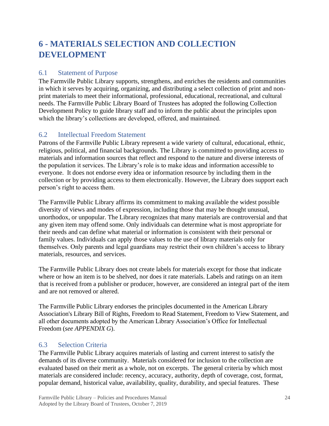# <span id="page-23-0"></span>**6 - MATERIALS SELECTION AND COLLECTION DEVELOPMENT**

# <span id="page-23-1"></span>6.1 Statement of Purpose

The Farmville Public Library supports, strengthens, and enriches the residents and communities in which it serves by acquiring, organizing, and distributing a select collection of print and nonprint materials to meet their informational, professional, educational, recreational, and cultural needs. The Farmville Public Library Board of Trustees has adopted the following Collection Development Policy to guide library staff and to inform the public about the principles upon which the library's collections are developed, offered, and maintained.

# <span id="page-23-2"></span>6.2 Intellectual Freedom Statement

Patrons of the Farmville Public Library represent a wide variety of cultural, educational, ethnic, religious, political, and financial backgrounds. The Library is committed to providing access to materials and information sources that reflect and respond to the nature and diverse interests of the population it services. The Library's role is to make ideas and information accessible to everyone. It does not endorse every idea or information resource by including them in the collection or by providing access to them electronically. However, the Library does support each person's right to access them.

The Farmville Public Library affirms its commitment to making available the widest possible diversity of views and modes of expression, including those that may be thought unusual, unorthodox, or unpopular. The Library recognizes that many materials are controversial and that any given item may offend some. Only individuals can determine what is most appropriate for their needs and can define what material or information is consistent with their personal or family values. Individuals can apply those values to the use of library materials only for themselves. Only parents and legal guardians may restrict their own children's access to library materials, resources, and services.

The Farmville Public Library does not create labels for materials except for those that indicate where or how an item is to be shelved, nor does it rate materials. Labels and ratings on an item that is received from a publisher or producer, however, are considered an integral part of the item and are not removed or altered.

The Farmville Public Library endorses the principles documented in the American Library Association's Library Bill of Rights, Freedom to Read Statement, Freedom to View Statement, and all other documents adopted by the American Library Association's Office for Intellectual Freedom (*see APPENDIX G*).

## <span id="page-23-3"></span>6.3 Selection Criteria

The Farmville Public Library acquires materials of lasting and current interest to satisfy the demands of its diverse community. Materials considered for inclusion to the collection are evaluated based on their merit as a whole, not on excerpts. The general criteria by which most materials are considered include: recency, accuracy, authority, depth of coverage, cost, format, popular demand, historical value, availability, quality, durability, and special features. These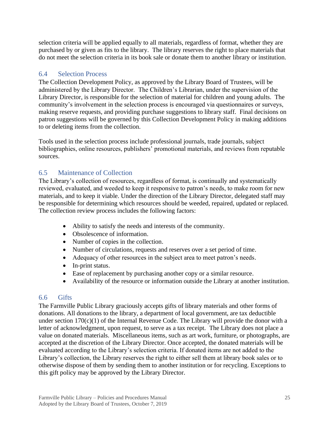selection criteria will be applied equally to all materials, regardless of format, whether they are purchased by or given as fits to the library. The library reserves the right to place materials that do not meet the selection criteria in its book sale or donate them to another library or institution.

## <span id="page-24-0"></span>6.4 Selection Process

The Collection Development Policy, as approved by the Library Board of Trustees, will be administered by the Library Director. The Children's Librarian, under the supervision of the Library Director, is responsible for the selection of material for children and young adults. The community's involvement in the selection process is encouraged via questionnaires or surveys, making reserve requests, and providing purchase suggestions to library staff. Final decisions on patron suggestions will be governed by this Collection Development Policy in making additions to or deleting items from the collection.

Tools used in the selection process include professional journals, trade journals, subject bibliographies, online resources, publishers' promotional materials, and reviews from reputable sources.

# <span id="page-24-1"></span>6.5 Maintenance of Collection

The Library's collection of resources, regardless of format, is continually and systematically reviewed, evaluated, and weeded to keep it responsive to patron's needs, to make room for new materials, and to keep it viable. Under the direction of the Library Director, delegated staff may be responsible for determining which resources should be weeded, repaired, updated or replaced. The collection review process includes the following factors:

- Ability to satisfy the needs and interests of the community.
- Obsolescence of information.
- Number of copies in the collection.
- Number of circulations, requests and reserves over a set period of time.
- Adequacy of other resources in the subject area to meet patron's needs.
- In-print status.
- Ease of replacement by purchasing another copy or a similar resource.
- Availability of the resource or information outside the Library at another institution.

## <span id="page-24-2"></span>6.6 Gifts

The Farmville Public Library graciously accepts gifts of library materials and other forms of donations. All donations to the library, a department of local government, are tax deductible under section  $170(c)(1)$  of the Internal Revenue Code. The Library will provide the donor with a letter of acknowledgment, upon request, to serve as a tax receipt. The Library does not place a value on donated materials. Miscellaneous items, such as art work, furniture, or photographs, are accepted at the discretion of the Library Director. Once accepted, the donated materials will be evaluated according to the Library's selection criteria. If donated items are not added to the Library's collection, the Library reserves the right to either sell them at library book sales or to otherwise dispose of them by sending them to another institution or for recycling. Exceptions to this gift policy may be approved by the Library Director.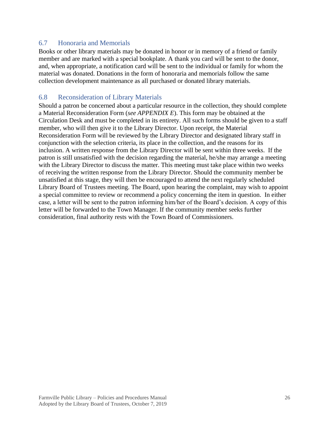#### <span id="page-25-0"></span>6.7 Honoraria and Memorials

Books or other library materials may be donated in honor or in memory of a friend or family member and are marked with a special bookplate. A thank you card will be sent to the donor, and, when appropriate, a notification card will be sent to the individual or family for whom the material was donated. Donations in the form of honoraria and memorials follow the same collection development maintenance as all purchased or donated library materials.

#### <span id="page-25-1"></span>6.8 Reconsideration of Library Materials

Should a patron be concerned about a particular resource in the collection, they should complete a Material Reconsideration Form (*see APPENDIX E*). This form may be obtained at the Circulation Desk and must be completed in its entirety. All such forms should be given to a staff member, who will then give it to the Library Director. Upon receipt, the Material Reconsideration Form will be reviewed by the Library Director and designated library staff in conjunction with the selection criteria, its place in the collection, and the reasons for its inclusion. A written response from the Library Director will be sent within three weeks. If the patron is still unsatisfied with the decision regarding the material, he/she may arrange a meeting with the Library Director to discuss the matter. This meeting must take place within two weeks of receiving the written response from the Library Director. Should the community member be unsatisfied at this stage, they will then be encouraged to attend the next regularly scheduled Library Board of Trustees meeting. The Board, upon hearing the complaint, may wish to appoint a special committee to review or recommend a policy concerning the item in question. In either case, a letter will be sent to the patron informing him/her of the Board's decision. A copy of this letter will be forwarded to the Town Manager. If the community member seeks further consideration, final authority rests with the Town Board of Commissioners.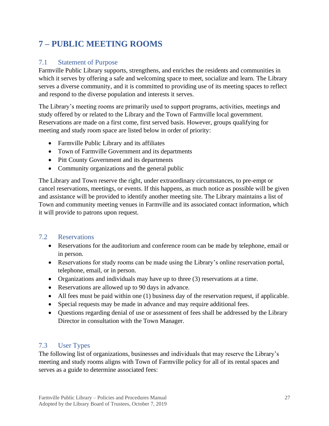# <span id="page-26-0"></span>**7 – PUBLIC MEETING ROOMS**

## <span id="page-26-1"></span>7.1 Statement of Purpose

Farmville Public Library supports, strengthens, and enriches the residents and communities in which it serves by offering a safe and welcoming space to meet, socialize and learn. The Library serves a diverse community, and it is committed to providing use of its meeting spaces to reflect and respond to the diverse population and interests it serves.

The Library's meeting rooms are primarily used to support programs, activities, meetings and study offered by or related to the Library and the Town of Farmville local government. Reservations are made on a first come, first served basis. However, groups qualifying for meeting and study room space are listed below in order of priority:

- Farmville Public Library and its affiliates
- Town of Farmville Government and its departments
- Pitt County Government and its departments
- Community organizations and the general public

The Library and Town reserve the right, under extraordinary circumstances, to pre-empt or cancel reservations, meetings, or events. If this happens, as much notice as possible will be given and assistance will be provided to identify another meeting site. The Library maintains a list of Town and community meeting venues in Farmville and its associated contact information, which it will provide to patrons upon request.

## <span id="page-26-2"></span>7.2 Reservations

- Reservations for the auditorium and conference room can be made by telephone, email or in person.
- Reservations for study rooms can be made using the Library's online reservation portal, telephone, email, or in person.
- Organizations and individuals may have up to three (3) reservations at a time.
- Reservations are allowed up to 90 days in advance.
- All fees must be paid within one (1) business day of the reservation request, if applicable.
- Special requests may be made in advance and may require additional fees.
- Questions regarding denial of use or assessment of fees shall be addressed by the Library Director in consultation with the Town Manager.

# <span id="page-26-3"></span>7.3 User Types

The following list of organizations, businesses and individuals that may reserve the Library's meeting and study rooms aligns with Town of Farmville policy for all of its rental spaces and serves as a guide to determine associated fees: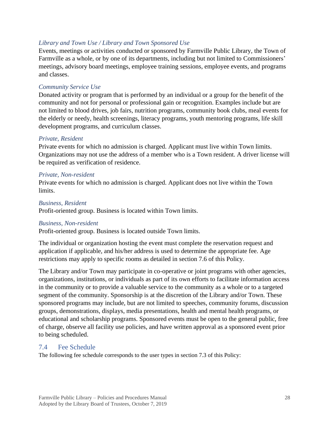#### <span id="page-27-0"></span>*Library and Town Use / Library and Town Sponsored Use*

Events, meetings or activities conducted or sponsored by Farmville Public Library, the Town of Farmville as a whole, or by one of its departments, including but not limited to Commissioners' meetings, advisory board meetings, employee training sessions, employee events, and programs and classes.

#### <span id="page-27-1"></span>*Community Service Use*

Donated activity or program that is performed by an individual or a group for the benefit of the community and not for personal or professional gain or recognition. Examples include but are not limited to blood drives, job fairs, nutrition programs, community book clubs, meal events for the elderly or needy, health screenings, literacy programs, youth mentoring programs, life skill development programs, and curriculum classes.

#### <span id="page-27-2"></span>*Private, Resident*

Private events for which no admission is charged. Applicant must live within Town limits. Organizations may not use the address of a member who is a Town resident. A driver license will be required as verification of residence.

#### <span id="page-27-3"></span>*Private, Non-resident*

Private events for which no admission is charged. Applicant does not live within the Town **limits** 

#### <span id="page-27-4"></span>*Business, Resident*

Profit-oriented group. Business is located within Town limits.

#### <span id="page-27-5"></span>*Business, Non-resident*

Profit-oriented group. Business is located outside Town limits.

The individual or organization hosting the event must complete the reservation request and application if applicable, and his/her address is used to determine the appropriate fee. Age restrictions may apply to specific rooms as detailed in section 7.6 of this Policy.

The Library and/or Town may participate in co-operative or joint programs with other agencies, organizations, institutions, or individuals as part of its own efforts to facilitate information access in the community or to provide a valuable service to the community as a whole or to a targeted segment of the community. Sponsorship is at the discretion of the Library and/or Town. These sponsored programs may include, but are not limited to speeches, community forums, discussion groups, demonstrations, displays, media presentations, health and mental health programs, or educational and scholarship programs. Sponsored events must be open to the general public, free of charge, observe all facility use policies, and have written approval as a sponsored event prior to being scheduled.

#### <span id="page-27-6"></span>7.4 Fee Schedule

The following fee schedule corresponds to the user types in section 7.3 of this Policy: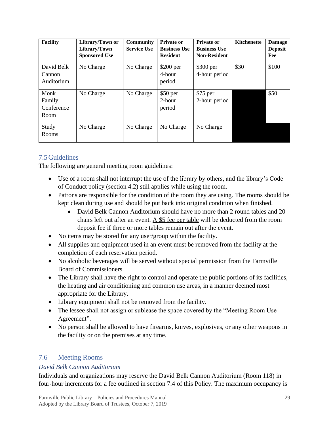| <b>Facility</b>                      | Library/Town or<br>Library/Town<br><b>Sponsored Use</b> | <b>Community</b><br><b>Service Use</b> | Private or<br><b>Business Use</b><br><b>Resident</b> | <b>Private or</b><br><b>Business Use</b><br><b>Non-Resident</b> | <b>Kitchenette</b> | <b>Damage</b><br><b>Deposit</b><br>Fee |
|--------------------------------------|---------------------------------------------------------|----------------------------------------|------------------------------------------------------|-----------------------------------------------------------------|--------------------|----------------------------------------|
| David Belk<br>Cannon<br>Auditorium   | No Charge                                               | No Charge                              | $$200$ per<br>4-hour<br>period                       | \$300 per<br>4-hour period                                      | \$30               | \$100                                  |
| Monk<br>Family<br>Conference<br>Room | No Charge                                               | No Charge                              | $$50$ per<br>2-hour<br>period                        | $$75$ per<br>2-hour period                                      |                    | \$50                                   |
| Study<br>Rooms                       | No Charge                                               | No Charge                              | No Charge                                            | No Charge                                                       |                    |                                        |

# <span id="page-28-0"></span>7.5Guidelines

The following are general meeting room guidelines:

- Use of a room shall not interrupt the use of the library by others, and the library's Code of Conduct policy (section 4.2) still applies while using the room.
- Patrons are responsible for the condition of the room they are using. The rooms should be kept clean during use and should be put back into original condition when finished.
	- David Belk Cannon Auditorium should have no more than 2 round tables and 20 chairs left out after an event. A \$5 fee per table will be deducted from the room deposit fee if three or more tables remain out after the event.
- No items may be stored for any user/group within the facility.
- All supplies and equipment used in an event must be removed from the facility at the completion of each reservation period.
- No alcoholic beverages will be served without special permission from the Farmville Board of Commissioners.
- The Library shall have the right to control and operate the public portions of its facilities, the heating and air conditioning and common use areas, in a manner deemed most appropriate for the Library.
- Library equipment shall not be removed from the facility.
- The lessee shall not assign or sublease the space covered by the "Meeting Room Use" Agreement".
- No person shall be allowed to have firearms, knives, explosives, or any other weapons in the facility or on the premises at any time.

# <span id="page-28-1"></span>7.6 Meeting Rooms

## <span id="page-28-2"></span>*David Belk Cannon Auditorium*

Individuals and organizations may reserve the David Belk Cannon Auditorium (Room 118) in four-hour increments for a fee outlined in section 7.4 of this Policy. The maximum occupancy is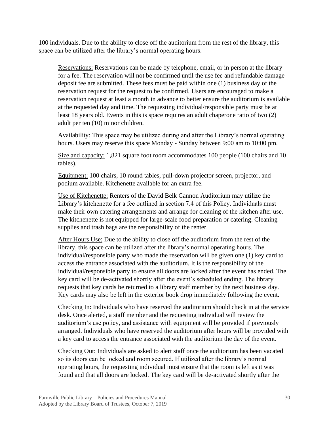100 individuals. Due to the ability to close off the auditorium from the rest of the library, this space can be utilized after the library's normal operating hours.

Reservations: Reservations can be made by telephone, email, or in person at the library for a fee. The reservation will not be confirmed until the use fee and refundable damage deposit fee are submitted. These fees must be paid within one (1) business day of the reservation request for the request to be confirmed. Users are encouraged to make a reservation request at least a month in advance to better ensure the auditorium is available at the requested day and time. The requesting individual/responsible party must be at least 18 years old. Events in this is space requires an adult chaperone ratio of two (2) adult per ten (10) minor children.

Availability: This space may be utilized during and after the Library's normal operating hours. Users may reserve this space Monday - Sunday between 9:00 am to 10:00 pm.

Size and capacity: 1,821 square foot room accommodates 100 people (100 chairs and 10 tables).

Equipment: 100 chairs, 10 round tables, pull-down projector screen, projector, and podium available. Kitchenette available for an extra fee.

Use of Kitchenette: Renters of the David Belk Cannon Auditorium may utilize the Library's kitchenette for a fee outlined in section 7.4 of this Policy. Individuals must make their own catering arrangements and arrange for cleaning of the kitchen after use. The kitchenette is not equipped for large-scale food preparation or catering. Cleaning supplies and trash bags are the responsibility of the renter.

After Hours Use: Due to the ability to close off the auditorium from the rest of the library, this space can be utilized after the library's normal operating hours. The individual/responsible party who made the reservation will be given one (1) key card to access the entrance associated with the auditorium. It is the responsibility of the individual/responsible party to ensure all doors are locked after the event has ended. The key card will be de-activated shortly after the event's scheduled ending. The library requests that key cards be returned to a library staff member by the next business day. Key cards may also be left in the exterior book drop immediately following the event.

Checking In: Individuals who have reserved the auditorium should check in at the service desk. Once alerted, a staff member and the requesting individual will review the auditorium's use policy, and assistance with equipment will be provided if previously arranged. Individuals who have reserved the auditorium after hours will be provided with a key card to access the entrance associated with the auditorium the day of the event.

Checking Out: Individuals are asked to alert staff once the auditorium has been vacated so its doors can be locked and room secured. If utilized after the library's normal operating hours, the requesting individual must ensure that the room is left as it was found and that all doors are locked. The key card will be de-activated shortly after the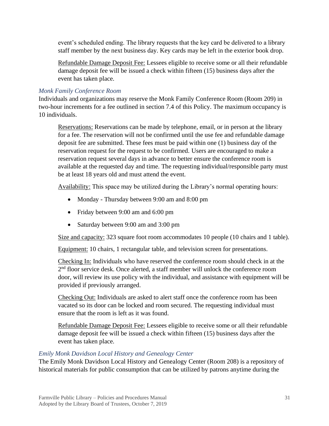event's scheduled ending. The library requests that the key card be delivered to a library staff member by the next business day. Key cards may be left in the exterior book drop.

Refundable Damage Deposit Fee: Lessees eligible to receive some or all their refundable damage deposit fee will be issued a check within fifteen (15) business days after the event has taken place.

#### <span id="page-30-0"></span>*Monk Family Conference Room*

Individuals and organizations may reserve the Monk Family Conference Room (Room 209) in two-hour increments for a fee outlined in section 7.4 of this Policy. The maximum occupancy is 10 individuals.

Reservations: Reservations can be made by telephone, email, or in person at the library for a fee. The reservation will not be confirmed until the use fee and refundable damage deposit fee are submitted. These fees must be paid within one (1) business day of the reservation request for the request to be confirmed. Users are encouraged to make a reservation request several days in advance to better ensure the conference room is available at the requested day and time. The requesting individual/responsible party must be at least 18 years old and must attend the event.

Availability: This space may be utilized during the Library's normal operating hours:

- Monday Thursday between 9:00 am and 8:00 pm
- Friday between 9:00 am and 6:00 pm
- Saturday between 9:00 am and 3:00 pm

Size and capacity: 323 square foot room accommodates 10 people (10 chairs and 1 table).

Equipment: 10 chairs, 1 rectangular table, and television screen for presentations.

Checking In: Individuals who have reserved the conference room should check in at the 2<sup>nd</sup> floor service desk. Once alerted, a staff member will unlock the conference room door, will review its use policy with the individual, and assistance with equipment will be provided if previously arranged.

Checking Out: Individuals are asked to alert staff once the conference room has been vacated so its door can be locked and room secured. The requesting individual must ensure that the room is left as it was found.

Refundable Damage Deposit Fee: Lessees eligible to receive some or all their refundable damage deposit fee will be issued a check within fifteen (15) business days after the event has taken place.

## <span id="page-30-1"></span>*Emily Monk Davidson Local History and Genealogy Center*

The Emily Monk Davidson Local History and Genealogy Center (Room 208) is a repository of historical materials for public consumption that can be utilized by patrons anytime during the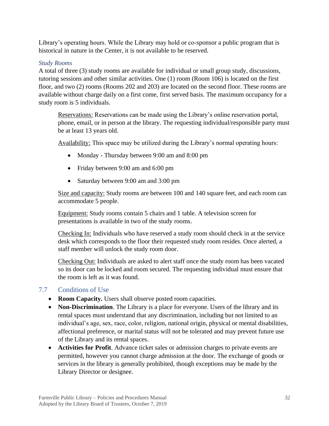Library's operating hours. While the Library may hold or co-sponsor a public program that is historical in nature in the Center, it is not available to be reserved.

#### <span id="page-31-0"></span>*Study Rooms*

A total of three (3) study rooms are available for individual or small group study, discussions, tutoring sessions and other similar activities. One (1) room (Room 106) is located on the first floor, and two (2) rooms (Rooms 202 and 203) are located on the second floor. These rooms are available without charge daily on a first come, first served basis. The maximum occupancy for a study room is 5 individuals.

Reservations: Reservations can be made using the Library's online reservation portal, phone, email, or in person at the library. The requesting individual/responsible party must be at least 13 years old.

Availability: This space may be utilized during the Library's normal operating hours:

- Monday Thursday between 9:00 am and 8:00 pm
- Friday between 9:00 am and 6:00 pm
- Saturday between 9:00 am and 3:00 pm

Size and capacity: Study rooms are between 100 and 140 square feet, and each room can accommodate 5 people.

Equipment: Study rooms contain 5 chairs and 1 table. A television screen for presentations is available in two of the study rooms.

Checking In: Individuals who have reserved a study room should check in at the service desk which corresponds to the floor their requested study room resides. Once alerted, a staff member will unlock the study room door.

Checking Out: Individuals are asked to alert staff once the study room has been vacated so its door can be locked and room secured. The requesting individual must ensure that the room is left as it was found.

# <span id="page-31-1"></span>7.7 Conditions of Use

- **Room Capacity.** Users shall observe posted room capacities.
- **Non-Discrimination**. The Library is a place for everyone. Users of the library and its rental spaces must understand that any discrimination, including but not limited to an individual's age, sex, race, color, religion, national origin, physical or mental disabilities, affectional preference, or marital status will not be tolerated and may prevent future use of the Library and its rental spaces.
- **Activities for Profit**. Advance ticket sales or admission charges to private events are permitted, however you cannot charge admission at the door. The exchange of goods or services in the library is generally prohibited, though exceptions may be made by the Library Director or designee.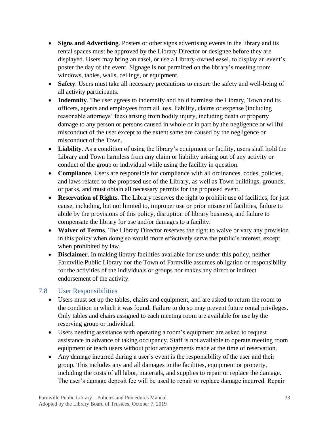- **Signs and Advertising**. Posters or other signs advertising events in the library and its rental spaces must be approved by the Library Director or designee before they are displayed. Users may bring an easel, or use a Library-owned easel, to display an event's poster the day of the event. Signage is not permitted on the library's meeting room windows, tables, walls, ceilings, or equipment.
- **Safety**. Users must take all necessary precautions to ensure the safety and well-being of all activity participants.
- **Indemnity**. The user agrees to indemnify and hold harmless the Library, Town and its officers, agents and employees from all loss, liability, claims or expense (including reasonable attorneys' fees) arising from bodily injury, including death or property damage to any person or persons caused in whole or in part by the negligence or willful misconduct of the user except to the extent same are caused by the negligence or misconduct of the Town.
- **Liability**. As a condition of using the library's equipment or facility, users shall hold the Library and Town harmless from any claim or liability arising out of any activity or conduct of the group or individual while using the facility in question.
- **Compliance**. Users are responsible for compliance with all ordinances, codes, policies, and laws related to the proposed use of the Library, as well as Town buildings, grounds, or parks, and must obtain all necessary permits for the proposed event.
- **Reservation of Rights**. The Library reserves the right to prohibit use of facilities, for just cause, including, but not limited to, improper use or prior misuse of facilities, failure to abide by the provisions of this policy, disruption of library business, and failure to compensate the library for use and/or damages to a facility.
- **Waiver of Terms**. The Library Director reserves the right to waive or vary any provision in this policy when doing so would more effectively serve the public's interest, except when prohibited by law.
- **Disclaimer**. In making library facilities available for use under this policy, neither Farmville Public Library nor the Town of Farmville assumes obligation or responsibility for the activities of the individuals or groups nor makes any direct or indirect endorsement of the activity.

## <span id="page-32-0"></span>7.8 User Responsibilities

- Users must set up the tables, chairs and equipment, and are asked to return the room to the condition in which it was found. Failure to do so may prevent future rental privileges. Only tables and chairs assigned to each meeting room are available for use by the reserving group or individual.
- Users needing assistance with operating a room's equipment are asked to request assistance in advance of taking occupancy. Staff is not available to operate meeting room equipment or teach users without prior arrangements made at the time of reservation.
- Any damage incurred during a user's event is the responsibility of the user and their group. This includes any and all damages to the facilities, equipment or property, including the costs of all labor, materials, and supplies to repair or replace the damage. The user's damage deposit fee will be used to repair or replace damage incurred. Repair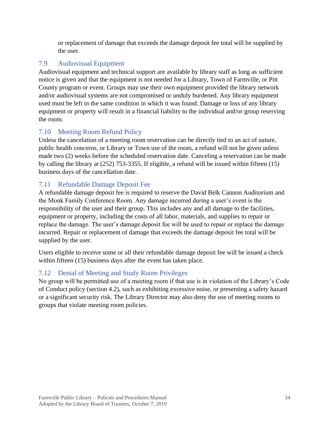or replacement of damage that exceeds the damage deposit fee total will be supplied by the user.

# <span id="page-33-0"></span>7.9 Audiovisual Equipment

Audiovisual equipment and technical support are available by library staff as long as sufficient notice is given and that the equipment is not needed for a Library, Town of Farmville, or Pitt County program or event. Groups may use their own equipment provided the library network and/or audiovisual systems are not compromised or unduly burdened. Any library equipment used must be left in the same condition in which it was found. Damage or loss of any library equipment or property will result in a financial liability to the individual and/or group reserving the room.

# <span id="page-33-1"></span>7.10 Meeting Room Refund Policy

Unless the cancelation of a meeting room reservation can be directly tied to an act of nature, public health concerns, or Library or Town use of the room, a refund will not be given unless made two (2) weeks before the scheduled reservation date. Canceling a reservation can be made by calling the library at (252) 753-3355. If eligible, a refund will be issued within fifteen (15) business days of the cancellation date.

# <span id="page-33-2"></span>7.11 Refundable Damage Deposit Fee

A refundable damage deposit fee is required to reserve the David Belk Cannon Auditorium and the Monk Family Conference Room. Any damage incurred during a user's event is the responsibility of the user and their group. This includes any and all damage to the facilities, equipment or property, including the costs of all labor, materials, and supplies to repair or replace the damage. The user's damage deposit fee will be used to repair or replace the damage incurred. Repair or replacement of damage that exceeds the damage deposit fee total will be supplied by the user.

Users eligible to receive some or all their refundable damage deposit fee will be issued a check within fifteen (15) business days after the event has taken place.

# <span id="page-33-3"></span>7.12 Denial of Meeting and Study Room Privileges

No group will be permitted use of a meeting room if that use is in violation of the Library's Code of Conduct policy (section 4.2), such as exhibiting excessive noise, or presenting a safety hazard or a significant security risk. The Library Director may also deny the use of meeting rooms to groups that violate meeting room policies.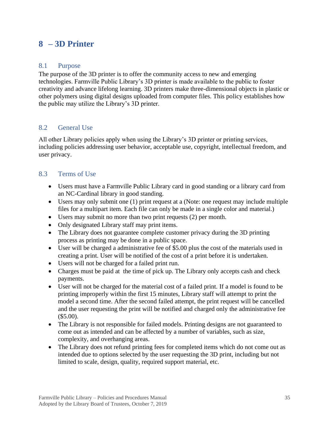# <span id="page-34-0"></span>**8 – 3D Printer**

#### <span id="page-34-1"></span>8.1 Purpose

The purpose of the 3D printer is to offer the community access to new and emerging technologies. Farmville Public Library's 3D printer is made available to the public to foster creativity and advance lifelong learning. 3D printers make three-dimensional objects in plastic or other polymers using digital designs uploaded from computer files. This policy establishes how the public may utilize the Library's 3D printer.

## 8.2 General Use

All other Library policies apply when using the Library's 3D printer or printing services, including policies addressing user behavior, acceptable use, copyright, intellectual freedom, and user privacy.

#### 8.3 Terms of Use

- Users must have a Farmville Public Library card in good standing or a library card from an NC-Cardinal library in good standing.
- Users may only submit one (1) print request at a (Note: one request may include multiple files for a multipart item. Each file can only be made in a single color and material.)
- Users may submit no more than two print requests (2) per month.
- Only designated Library staff may print items.
- The Library does not guarantee complete customer privacy during the 3D printing process as printing may be done in a public space.
- User will be charged a administrative fee of \$5.00 plus the cost of the materials used in creating a print. User will be notified of the cost of a print before it is undertaken.
- Users will not be charged for a failed print run.
- Charges must be paid at the time of pick up. The Library only accepts cash and check payments.
- User will not be charged for the material cost of a failed print. If a model is found to be printing improperly within the first 15 minutes, Library staff will attempt to print the model a second time. After the second failed attempt, the print request will be cancelled and the user requesting the print will be notified and charged only the administrative fee  $($5.00).$
- The Library is not responsible for failed models. Printing designs are not guaranteed to come out as intended and can be affected by a number of variables, such as size, complexity, and overhanging areas.
- The Library does not refund printing fees for completed items which do not come out as intended due to options selected by the user requesting the 3D print, including but not limited to scale, design, quality, required support material, etc.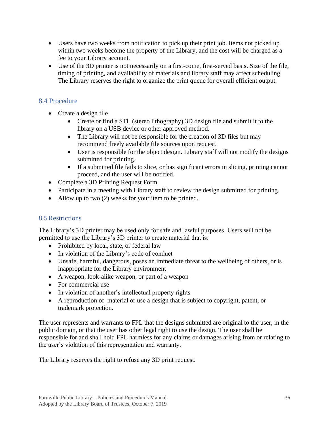- Users have two weeks from notification to pick up their print job. Items not picked up within two weeks become the property of the Library, and the cost will be charged as a fee to your Library account.
- Use of the 3D printer is not necessarily on a first-come, first-served basis. Size of the file, timing of printing, and availability of materials and library staff may affect scheduling. The Library reserves the right to organize the print queue for overall efficient output.

## 8.4 Procedure

- Create a design file
	- Create or find a STL (stereo lithography) 3D design file and submit it to the library on a USB device or other approved method.
	- The Library will not be responsible for the creation of 3D files but may recommend freely available file sources upon request.
	- User is responsible for the object design. Library staff will not modify the designs submitted for printing.
	- If a submitted file fails to slice, or has significant errors in slicing, printing cannot proceed, and the user will be notified.
- Complete a 3D Printing Request Form
- Participate in a meeting with Library staff to review the design submitted for printing.
- Allow up to two (2) weeks for your item to be printed.

# 8.5Restrictions

The Library's 3D printer may be used only for safe and lawful purposes. Users will not be permitted to use the Library's 3D printer to create material that is:

- Prohibited by local, state, or federal law
- In violation of the Library's code of conduct
- Unsafe, harmful, dangerous, poses an immediate threat to the wellbeing of others, or is inappropriate for the Library environment
- A weapon, look-alike weapon, or part of a weapon
- For commercial use
- In violation of another's intellectual property rights
- A reproduction of material or use a design that is subject to copyright, patent, or trademark protection.

The user represents and warrants to FPL that the designs submitted are original to the user, in the public domain, or that the user has other legal right to use the design. The user shall be responsible for and shall hold FPL harmless for any claims or damages arising from or relating to the user's violation of this representation and warranty.

The Library reserves the right to refuse any 3D print request.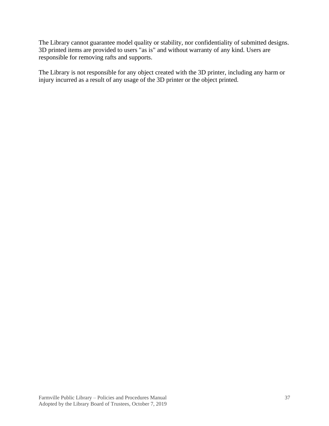The Library cannot guarantee model quality or stability, nor confidentiality of submitted designs. 3D printed items are provided to users "as is" and without warranty of any kind. Users are responsible for removing rafts and supports.

The Library is not responsible for any object created with the 3D printer, including any harm or injury incurred as a result of any usage of the 3D printer or the object printed.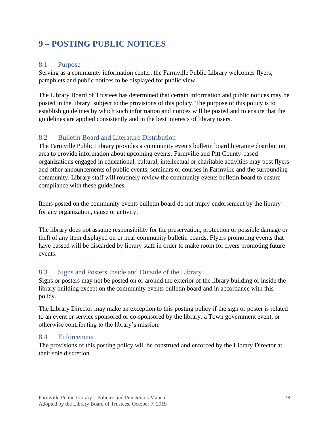# <span id="page-37-0"></span>**9 – POSTING PUBLIC NOTICES**

#### <span id="page-37-1"></span>8.1 Purpose

Serving as a community information center, the Farmville Public Library welcomes flyers, pamphlets and public notices to be displayed for public view.

The Library Board of Trustees has determined that certain information and public notices may be posted in the library, subject to the provisions of this policy. The purpose of this policy is to establish guidelines by which such information and notices will be posted and to ensure that the guidelines are applied consistently and in the best interests of library users.

# <span id="page-37-2"></span>8.2 Bulletin Board and Literature Distribution

The Farmville Public Library provides a community events bulletin board literature distribution area to provide information about upcoming events. Farmville and Pitt County-based organizations engaged in educational, cultural, intellectual or charitable activities may post flyers and other announcements of public events, seminars or courses in Farmville and the surrounding community. Library staff will routinely review the community events bulletin board to ensure compliance with these guidelines.

Items posted on the community events bulletin board do not imply endorsement by the library for any organization, cause or activity.

The library does not assume responsibility for the preservation, protection or possible damage or theft of any item displayed on or near community bulletin boards. Flyers promoting events that have passed will be discarded by library staff in order to make room for flyers promoting future events.

# <span id="page-37-3"></span>8.3 Signs and Posters Inside and Outside of the Library

Signs or posters may not be posted on or around the exterior of the library building or inside the library building except on the community events bulletin board and in accordance with this policy.

The Library Director may make an exception to this posting policy if the sign or poster is related to an event or service sponsored or co-sponsored by the library, a Town government event, or otherwise contributing to the library's mission.

## <span id="page-37-4"></span>8.4 Enforcement

The provisions of this posting policy will be construed and enforced by the Library Director at their sole discretion.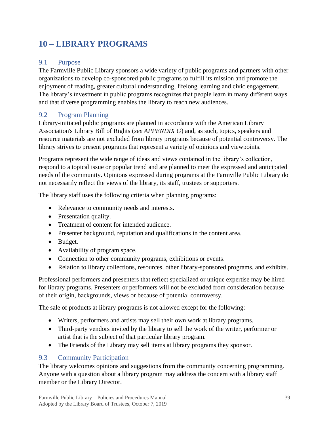# <span id="page-38-2"></span>**10 – LIBRARY PROGRAMS**

# <span id="page-38-3"></span>9.1 Purpose

The Farmville Public Library sponsors a wide variety of public programs and partners with other organizations to develop co-sponsored public programs to fulfill its mission and promote the enjoyment of reading, greater cultural understanding, lifelong learning and civic engagement. The library's investment in public programs recognizes that people learn in many different ways and that diverse programming enables the library to reach new audiences.

# <span id="page-38-0"></span>9.2 Program Planning

Library-initiated public programs are planned in accordance with the American Library Association's Library Bill of Rights (*see APPENDIX G*) and, as such, topics, speakers and resource materials are not excluded from library programs because of potential controversy. The library strives to present programs that represent a variety of opinions and viewpoints.

Programs represent the wide range of ideas and views contained in the library's collection, respond to a topical issue or popular trend and are planned to meet the expressed and anticipated needs of the community. Opinions expressed during programs at the Farmville Public Library do not necessarily reflect the views of the library, its staff, trustees or supporters.

The library staff uses the following criteria when planning programs:

- Relevance to community needs and interests.
- Presentation quality.
- Treatment of content for intended audience.
- Presenter background, reputation and qualifications in the content area.
- Budget.
- Availability of program space.
- Connection to other community programs, exhibitions or events.
- Relation to library collections, resources, other library-sponsored programs, and exhibits.

Professional performers and presenters that reflect specialized or unique expertise may be hired for library programs. Presenters or performers will not be excluded from consideration because of their origin, backgrounds, views or because of potential controversy.

The sale of products at library programs is not allowed except for the following:

- Writers, performers and artists may sell their own work at library programs.
- Third-party vendors invited by the library to sell the work of the writer, performer or artist that is the subject of that particular library program.
- The Friends of the Library may sell items at library programs they sponsor.

# <span id="page-38-1"></span>9.3 Community Participation

The library welcomes opinions and suggestions from the community concerning programming. Anyone with a question about a library program may address the concern with a library staff member or the Library Director.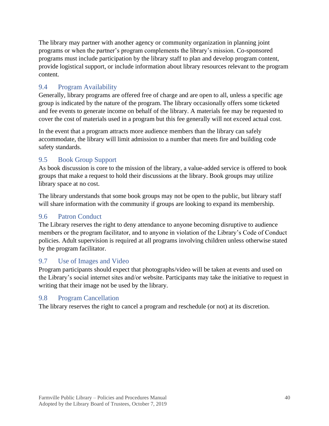The library may partner with another agency or community organization in planning joint programs or when the partner's program complements the library's mission. Co-sponsored programs must include participation by the library staff to plan and develop program content, provide logistical support, or include information about library resources relevant to the program content.

# <span id="page-39-0"></span>9.4 Program Availability

Generally, library programs are offered free of charge and are open to all, unless a specific age group is indicated by the nature of the program. The library occasionally offers some ticketed and fee events to generate income on behalf of the library. A materials fee may be requested to cover the cost of materials used in a program but this fee generally will not exceed actual cost.

In the event that a program attracts more audience members than the library can safely accommodate, the library will limit admission to a number that meets fire and building code safety standards.

# <span id="page-39-1"></span>9.5 Book Group Support

As book discussion is core to the mission of the library, a value-added service is offered to book groups that make a request to hold their discussions at the library. Book groups may utilize library space at no cost.

The library understands that some book groups may not be open to the public, but library staff will share information with the community if groups are looking to expand its membership.

## <span id="page-39-2"></span>9.6 Patron Conduct

The Library reserves the right to deny attendance to anyone becoming disruptive to audience members or the program facilitator, and to anyone in violation of the Library's Code of Conduct policies. Adult supervision is required at all programs involving children unless otherwise stated by the program facilitator.

# <span id="page-39-3"></span>9.7 Use of Images and Video

Program participants should expect that photographs/video will be taken at events and used on the Library's social internet sites and/or website. Participants may take the initiative to request in writing that their image not be used by the library.

## <span id="page-39-4"></span>9.8 Program Cancellation

The library reserves the right to cancel a program and reschedule (or not) at its discretion.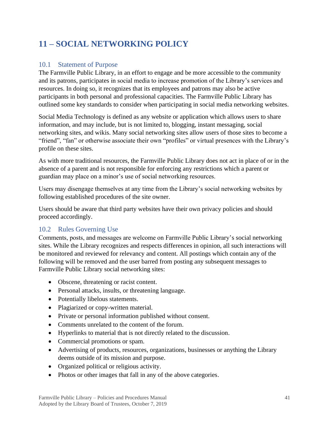# <span id="page-40-0"></span>**11 – SOCIAL NETWORKING POLICY**

## <span id="page-40-1"></span>10.1 Statement of Purpose

The Farmville Public Library, in an effort to engage and be more accessible to the community and its patrons, participates in social media to increase promotion of the Library's services and resources. In doing so, it recognizes that its employees and patrons may also be active participants in both personal and professional capacities. The Farmville Public Library has outlined some key standards to consider when participating in social media networking websites.

Social Media Technology is defined as any website or application which allows users to share information, and may include, but is not limited to, blogging, instant messaging, social networking sites, and wikis. Many social networking sites allow users of those sites to become a "friend", "fan" or otherwise associate their own "profiles" or virtual presences with the Library's profile on these sites.

As with more traditional resources, the Farmville Public Library does not act in place of or in the absence of a parent and is not responsible for enforcing any restrictions which a parent or guardian may place on a minor's use of social networking resources.

Users may disengage themselves at any time from the Library's social networking websites by following established procedures of the site owner.

Users should be aware that third party websites have their own privacy policies and should proceed accordingly.

## <span id="page-40-2"></span>10.2 Rules Governing Use

Comments, posts, and messages are welcome on Farmville Public Library's social networking sites. While the Library recognizes and respects differences in opinion, all such interactions will be monitored and reviewed for relevancy and content. All postings which contain any of the following will be removed and the user barred from posting any subsequent messages to Farmville Public Library social networking sites:

- Obscene, threatening or racist content.
- Personal attacks, insults, or threatening language.
- Potentially libelous statements.
- Plagiarized or copy-written material.
- Private or personal information published without consent.
- Comments unrelated to the content of the forum.
- Hyperlinks to material that is not directly related to the discussion.
- Commercial promotions or spam.
- Advertising of products, resources, organizations, businesses or anything the Library deems outside of its mission and purpose.
- Organized political or religious activity.
- Photos or other images that fall in any of the above categories.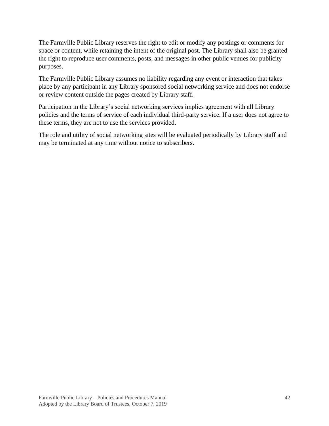The Farmville Public Library reserves the right to edit or modify any postings or comments for space or content, while retaining the intent of the original post. The Library shall also be granted the right to reproduce user comments, posts, and messages in other public venues for publicity purposes.

The Farmville Public Library assumes no liability regarding any event or interaction that takes place by any participant in any Library sponsored social networking service and does not endorse or review content outside the pages created by Library staff.

Participation in the Library's social networking services implies agreement with all Library policies and the terms of service of each individual third-party service. If a user does not agree to these terms, they are not to use the services provided.

The role and utility of social networking sites will be evaluated periodically by Library staff and may be terminated at any time without notice to subscribers.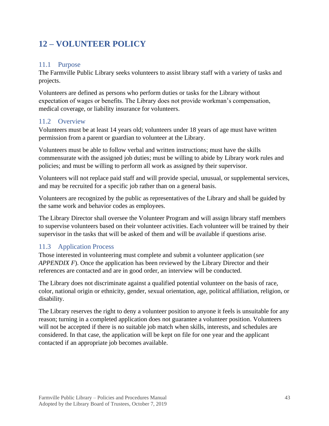# <span id="page-42-0"></span>**12 – VOLUNTEER POLICY**

## <span id="page-42-1"></span>11.1 Purpose

The Farmville Public Library seeks volunteers to assist library staff with a variety of tasks and projects.

Volunteers are defined as persons who perform duties or tasks for the Library without expectation of wages or benefits. The Library does not provide workman's compensation, medical coverage, or liability insurance for volunteers.

#### <span id="page-42-2"></span>11.2 Overview

Volunteers must be at least 14 years old; volunteers under 18 years of age must have written permission from a parent or guardian to volunteer at the Library.

Volunteers must be able to follow verbal and written instructions; must have the skills commensurate with the assigned job duties; must be willing to abide by Library work rules and policies; and must be willing to perform all work as assigned by their supervisor.

Volunteers will not replace paid staff and will provide special, unusual, or supplemental services, and may be recruited for a specific job rather than on a general basis.

Volunteers are recognized by the public as representatives of the Library and shall be guided by the same work and behavior codes as employees.

The Library Director shall oversee the Volunteer Program and will assign library staff members to supervise volunteers based on their volunteer activities. Each volunteer will be trained by their supervisor in the tasks that will be asked of them and will be available if questions arise.

## <span id="page-42-3"></span>11.3 Application Process

Those interested in volunteering must complete and submit a volunteer application (*see APPENDIX F*). Once the application has been reviewed by the Library Director and their references are contacted and are in good order, an interview will be conducted.

The Library does not discriminate against a qualified potential volunteer on the basis of race, color, national origin or ethnicity, gender, sexual orientation, age, political affiliation, religion, or disability.

The Library reserves the right to deny a volunteer position to anyone it feels is unsuitable for any reason; turning in a completed application does not guarantee a volunteer position. Volunteers will not be accepted if there is no suitable job match when skills, interests, and schedules are considered. In that case, the application will be kept on file for one year and the applicant contacted if an appropriate job becomes available.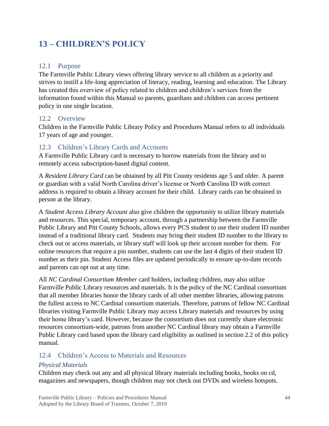# <span id="page-43-0"></span>**13 – CHILDREN'S POLICY**

## <span id="page-43-1"></span>12.1 Purpose

The Farmville Public Library views offering library service to all children as a priority and strives to instill a life-long appreciation of literacy, reading, learning and education. The Library has created this overview of policy related to children and children's services from the information found within this Manual so parents, guardians and children can access pertinent policy in one single location.

## <span id="page-43-2"></span>12.2 Overview

Children in the Farmville Public Library Policy and Procedures Manual refers to all individuals 17 years of age and younger.

## <span id="page-43-3"></span>12.3 Children's Library Cards and Accounts

A Farmville Public Library card is necessary to borrow materials from the library and to remotely access subscription-based digital content.

A *Resident Library Card* can be obtained by all Pitt County residents age 5 and older. A parent or guardian with a valid North Carolina driver's license or North Carolina ID with correct address is required to obtain a library account for their child. Library cards can be obtained in person at the library.

A *Student Access Library Account* also give children the opportunity to utilize library materials and resources. This special, temporary account, through a partnership between the Farmville Public Library and Pitt County Schools, allows every PCS student to use their student ID number instead of a traditional library card. Students may bring their student ID number to the library to check out or access materials, or library staff will look up their account number for them. For online resources that require a pin number, students can use the last 4 digits of their student ID number as their pin. Student Access files are updated periodically to ensure up-to-date records and parents can opt out at any time.

All *NC Cardinal Consortium Member* card holders, including children, may also utilize Farmville Public Library resources and materials. It is the policy of the NC Cardinal consortium that all member libraries honor the library cards of all other member libraries, allowing patrons the fullest access to NC Cardinal consortium materials. Therefore, patrons of fellow NC Cardinal libraries visiting Farmville Public Library may access Library materials and resources by using their home library's card. However, because the consortium does not currently share electronic resources consortium-wide, patrons from another NC Cardinal library may obtain a Farmville Public Library card based upon the library card eligibility as outlined in section 2.2 of this policy manual.

## <span id="page-43-4"></span>12.4 Children's Access to Materials and Resources

## <span id="page-43-5"></span>*Physical Materials*

Children may check out any and all physical library materials including books, books on cd, magazines and newspapers, though children may not check out DVDs and wireless hotspots.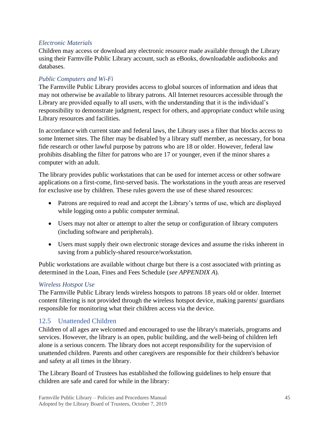#### <span id="page-44-0"></span>*Electronic Materials*

Children may access or download any electronic resource made available through the Library using their Farmville Public Library account, such as eBooks, downloadable audiobooks and databases.

#### <span id="page-44-1"></span>*Public Computers and Wi-Fi*

The Farmville Public Library provides access to global sources of information and ideas that may not otherwise be available to library patrons. All Internet resources accessible through the Library are provided equally to all users, with the understanding that it is the individual's responsibility to demonstrate judgment, respect for others, and appropriate conduct while using Library resources and facilities.

In accordance with current state and federal laws, the Library uses a filter that blocks access to some Internet sites. The filter may be disabled by a library staff member, as necessary, for bona fide research or other lawful purpose by patrons who are 18 or older. However, federal law prohibits disabling the filter for patrons who are 17 or younger, even if the minor shares a computer with an adult.

The library provides public workstations that can be used for internet access or other software applications on a first-come, first-served basis. The workstations in the youth areas are reserved for exclusive use by children. These rules govern the use of these shared resources:

- Patrons are required to read and accept the Library's terms of use, which are displayed while logging onto a public computer terminal.
- Users may not alter or attempt to alter the setup or configuration of library computers (including software and peripherals).
- Users must supply their own electronic storage devices and assume the risks inherent in saving from a publicly-shared resource/workstation.

Public workstations are available without charge but there is a cost associated with printing as determined in the Loan, Fines and Fees Schedule (*see APPENDIX A*).

#### <span id="page-44-2"></span>*Wireless Hotspot Use*

The Farmville Public Library lends wireless hotspots to patrons 18 years old or older. Internet content filtering is not provided through the wireless hotspot device, making parents/ guardians responsible for monitoring what their children access via the device.

# <span id="page-44-3"></span>12.5 Unattended Children

Children of all ages are welcomed and encouraged to use the library's materials, programs and services. However, the library is an open, public building, and the well-being of children left alone is a serious concern. The library does not accept responsibility for the supervision of unattended children. Parents and other caregivers are responsible for their children's behavior and safety at all times in the library.

The Library Board of Trustees has established the following guidelines to help ensure that children are safe and cared for while in the library: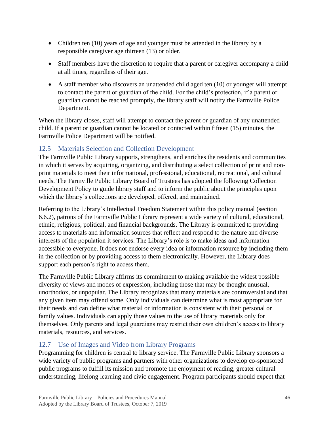- Children ten (10) years of age and younger must be attended in the library by a responsible caregiver age thirteen (13) or older.
- Staff members have the discretion to require that a parent or caregiver accompany a child at all times, regardless of their age.
- A staff member who discovers an unattended child aged ten (10) or younger will attempt to contact the parent or guardian of the child. For the child's protection, if a parent or guardian cannot be reached promptly, the library staff will notify the Farmville Police Department.

When the library closes, staff will attempt to contact the parent or guardian of any unattended child. If a parent or guardian cannot be located or contacted within fifteen (15) minutes, the Farmville Police Department will be notified.

# <span id="page-45-0"></span>12.5 Materials Selection and Collection Development

The Farmville Public Library supports, strengthens, and enriches the residents and communities in which it serves by acquiring, organizing, and distributing a select collection of print and nonprint materials to meet their informational, professional, educational, recreational, and cultural needs. The Farmville Public Library Board of Trustees has adopted the following Collection Development Policy to guide library staff and to inform the public about the principles upon which the library's collections are developed, offered, and maintained.

Referring to the Library's Intellectual Freedom Statement within this policy manual (section 6.6.2), patrons of the Farmville Public Library represent a wide variety of cultural, educational, ethnic, religious, political, and financial backgrounds. The Library is committed to providing access to materials and information sources that reflect and respond to the nature and diverse interests of the population it services. The Library's role is to make ideas and information accessible to everyone. It does not endorse every idea or information resource by including them in the collection or by providing access to them electronically. However, the Library does support each person's right to access them.

The Farmville Public Library affirms its commitment to making available the widest possible diversity of views and modes of expression, including those that may be thought unusual, unorthodox, or unpopular. The Library recognizes that many materials are controversial and that any given item may offend some. Only individuals can determine what is most appropriate for their needs and can define what material or information is consistent with their personal or family values. Individuals can apply those values to the use of library materials only for themselves. Only parents and legal guardians may restrict their own children's access to library materials, resources, and services.

# <span id="page-45-1"></span>12.7 Use of Images and Video from Library Programs

Programming for children is central to library service. The Farmville Public Library sponsors a wide variety of public programs and partners with other organizations to develop co-sponsored public programs to fulfill its mission and promote the enjoyment of reading, greater cultural understanding, lifelong learning and civic engagement. Program participants should expect that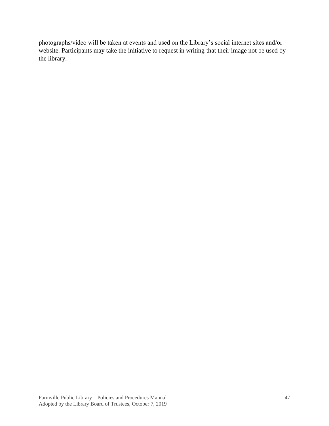photographs/video will be taken at events and used on the Library's social internet sites and/or website. Participants may take the initiative to request in writing that their image not be used by the library.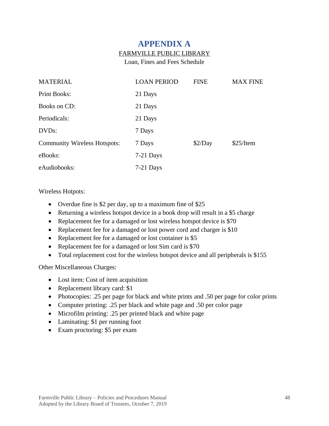# **APPENDIX A** FARMVILLE PUBLIC LIBRARY

Loan, Fines and Fees Schedule

<span id="page-47-1"></span><span id="page-47-0"></span>

| <b>MATERIAL</b>                     | <b>LOAN PERIOD</b> | <b>FINE</b> | <b>MAX FINE</b> |
|-------------------------------------|--------------------|-------------|-----------------|
| <b>Print Books:</b>                 | 21 Days            |             |                 |
| Books on CD:                        | 21 Days            |             |                 |
| Periodicals:                        | 21 Days            |             |                 |
| DVD <sub>s</sub> :                  | 7 Days             |             |                 |
| <b>Community Wireless Hotspots:</b> | 7 Days             | \$2/Day     | \$25/Item       |
| eBooks:                             | $7-21$ Days        |             |                 |
| eAudiobooks:                        | $7-21$ Days        |             |                 |

Wireless Hotpots:

- Overdue fine is \$2 per day, up to a maximum fine of \$25
- Returning a wireless hotspot device in a book drop will result in a \$5 charge
- Replacement fee for a damaged or lost wireless hotspot device is \$70
- Replacement fee for a damaged or lost power cord and charger is \$10
- Replacement fee for a damaged or lost container is \$5
- Replacement fee for a damaged or lost Sim card is \$70
- Total replacement cost for the wireless hotspot device and all peripherals is \$155

Other Miscellaneous Charges:

- Lost item: Cost of item acquisition
- Replacement library card: \$1
- Photocopies: .25 per page for black and white prints and .50 per page for color prints
- Computer printing: .25 per black and white page and .50 per color page
- Microfilm printing: .25 per printed black and white page
- Laminating: \$1 per running foot
- Exam proctoring: \$5 per exam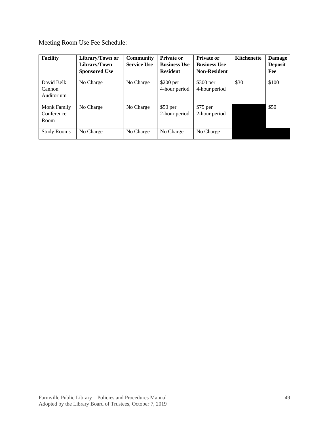Meeting Room Use Fee Schedule:

| <b>Facility</b>                    | Library/Town or<br>Library/Town<br><b>Sponsored Use</b> | <b>Community</b><br><b>Service Use</b> | <b>Private or</b><br><b>Business Use</b><br><b>Resident</b> | <b>Private or</b><br><b>Business Use</b><br><b>Non-Resident</b> | <b>Kitchenette</b> | <b>Damage</b><br><b>Deposit</b><br>Fee |
|------------------------------------|---------------------------------------------------------|----------------------------------------|-------------------------------------------------------------|-----------------------------------------------------------------|--------------------|----------------------------------------|
| David Belk<br>Cannon<br>Auditorium | No Charge                                               | No Charge                              | $$200$ per<br>4-hour period                                 | \$300 per<br>4-hour period                                      | \$30               | \$100                                  |
| Monk Family<br>Conference<br>Room  | No Charge                                               | No Charge                              | $$50$ per<br>2-hour period                                  | $$75$ per<br>2-hour period                                      |                    | \$50                                   |
| <b>Study Rooms</b>                 | No Charge                                               | No Charge                              | No Charge                                                   | No Charge                                                       |                    |                                        |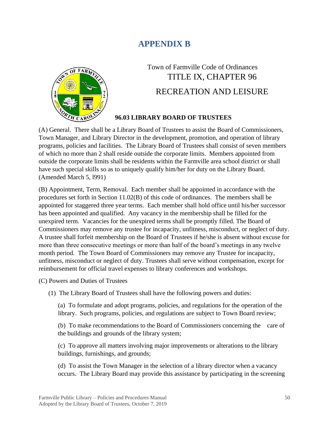# **APPENDIX B**

<span id="page-49-0"></span>

# <span id="page-49-1"></span>Town of Farmville Code of Ordinances TITLE IX, CHAPTER 96 RECREATION AND LEISURE

## **96.03 LIBRARY BOARD OF TRUSTEES**

(A) General. There shall be a Library Board of Trustees to assist the Board of Commissioners, Town Manager, and Library Director in the development, promotion, and operation of library programs, policies and facilities. The Library Board of Trustees shall consist of seven members of which no more than 2 shall reside outside the corporate limits. Members appointed from outside the corporate limits shall be residents within the Farmville area school district or shall have such special skills so as to uniquely qualify him/her for duty on the Library Board. (Amended March 5, l991)

(B) Appointment, Term, Removal. Each member shall be appointed in accordance with the procedures set forth in Section 11.02(B) of this code of ordinances. The members shall be appointed for staggered three year terms. Each member shall hold office until his/her successor has been appointed and qualified. Any vacancy in the membership shall be filled for the unexpired term. Vacancies for the unexpired terms shall be promptly filled. The Board of Commissioners may remove any trustee for incapacity, unfitness, misconduct, or neglect of duty. A trustee shall forfeit membership on the Board of Trustees if he/she is absent without excuse for more than three consecutive meetings or more than half of the board's meetings in any twelve month period. The Town Board of Commissioners may remove any Trustee for incapacity, unfitness, misconduct or neglect of duty. Trustees shall serve without compensation, except for reimbursement for official travel expenses to library conferences and workshops.

(C) Powers and Duties of Trustees

(1) The Library Board of Trustees shall have the following powers and duties:

(a) To formulate and adopt programs, policies, and regulations for the operation of the library. Such programs, policies, and regulations are subject to Town Board review;

(b) To make recommendations to the Board of Commissioners concerning the care of the buildings and grounds of the library system;

(c) To approve all matters involving major improvements or alterations to the library buildings, furnishings, and grounds;

(d) To assist the Town Manager in the selection of a library director when a vacancy occurs. The Library Board may provide this assistance by participating in the screening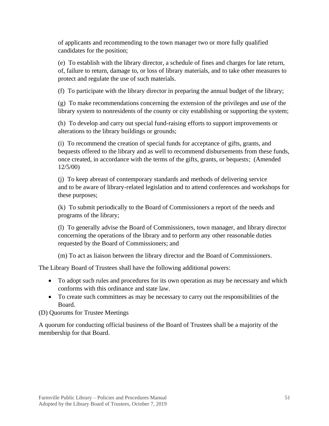of applicants and recommending to the town manager two or more fully qualified candidates for the position;

(e) To establish with the library director, a schedule of fines and charges for late return, of, failure to return, damage to, or loss of library materials, and to take other measures to protect and regulate the use of such materials.

(f) To participate with the library director in preparing the annual budget of the library;

(g) To make recommendations concerning the extension of the privileges and use of the library system to nonresidents of the county or city establishing or supporting the system;

(h) To develop and carry out special fund-raising efforts to support improvements or alterations to the library buildings or grounds;

(i) To recommend the creation of special funds for acceptance of gifts, grants, and bequests offered to the library and as well to recommend disbursements from these funds, once created, in accordance with the terms of the gifts, grants, or bequests; (Amended 12/5/00)

(j) To keep abreast of contemporary standards and methods of delivering service and to be aware of library-related legislation and to attend conferences and workshops for these purposes;

(k) To submit periodically to the Board of Commissioners a report of the needs and programs of the library;

(l) To generally advise the Board of Commissioners, town manager, and library director concerning the operations of the library and to perform any other reasonable duties requested by the Board of Commissioners; and

(m) To act as liaison between the library director and the Board of Commissioners.

The Library Board of Trustees shall have the following additional powers:

- To adopt such rules and procedures for its own operation as may be necessary and which conforms with this ordinance and state law.
- To create such committees as may be necessary to carry out the responsibilities of the Board.

(D) Quorums for Trustee Meetings

A quorum for conducting official business of the Board of Trustees shall be a majority of the membership for that Board.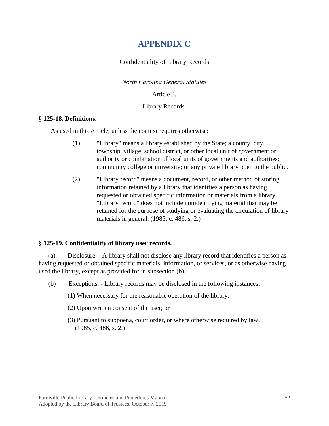# **APPENDIX C**

#### Confidentiality of Library Records

*North Carolina General Statutes*

Article 3.

Library Records.

#### <span id="page-51-1"></span><span id="page-51-0"></span>**§ 125-18. Definitions.**

As used in this Article, unless the context requires otherwise:

- (1) "Library" means a library established by the State; a county, city, township, village, school district, or other local unit of government or authority or combination of local units of governments and authorities; community college or university; or any private library open to the public.
- (2) "Library record" means a document, record, or other method of storing information retained by a library that identifies a person as having requested or obtained specific information or materials from a library. "Library record" does not include nonidentifying material that may be retained for the purpose of studying or evaluating the circulation of library materials in general. (1985, c. 486, s. 2.)

#### **§ 125-19. Confidentiality of library user records.**

(a) Disclosure. - A library shall not disclose any library record that identifies a person as having requested or obtained specific materials, information, or services, or as otherwise having used the library, except as provided for in subsection (b).

- (b) Exceptions. Library records may be disclosed in the following instances:
	- (1) When necessary for the reasonable operation of the library;
	- (2) Upon written consent of the user; or
	- (3) Pursuant to subpoena, court order, or where otherwise required by law. (1985, c. 486, s. 2.)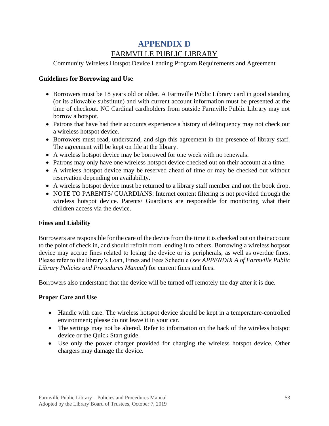# **APPENDIX D** FARMVILLE PUBLIC LIBRARY

<span id="page-52-1"></span><span id="page-52-0"></span>Community Wireless Hotspot Device Lending Program Requirements and Agreement

#### **Guidelines for Borrowing and Use**

- Borrowers must be 18 years old or older. A Farmville Public Library card in good standing (or its allowable substitute) and with current account information must be presented at the time of checkout. NC Cardinal cardholders from outside Farmville Public Library may not borrow a hotspot.
- Patrons that have had their accounts experience a history of delinquency may not check out a wireless hotspot device.
- Borrowers must read, understand, and sign this agreement in the presence of library staff. The agreement will be kept on file at the library.
- A wireless hotspot device may be borrowed for one week with no renewals.
- Patrons may only have one wireless hotspot device checked out on their account at a time.
- A wireless hotspot device may be reserved ahead of time or may be checked out without reservation depending on availability.
- A wireless hotspot device must be returned to a library staff member and not the book drop.
- NOTE TO PARENTS/ GUARDIANS: Internet content filtering is not provided through the wireless hotspot device. Parents/ Guardians are responsible for monitoring what their children access via the device.

#### **Fines and Liability**

Borrowers are responsible for the care of the device from the time it is checked out on their account to the point of check in, and should refrain from lending it to others. Borrowing a wireless hotpsot device may accrue fines related to losing the device or its peripherals, as well as overdue fines. Please refer to the library's Loan, Fines and Fees Schedule (*see APPENDIX A of Farmville Public Library Policies and Procedures Manual*) for current fines and fees.

Borrowers also understand that the device will be turned off remotely the day after it is due.

#### **Proper Care and Use**

- Handle with care. The wireless hotspot device should be kept in a temperature-controlled environment; please do not leave it in your car.
- The settings may not be altered. Refer to information on the back of the wireless hotspot device or the Quick Start guide.
- Use only the power charger provided for charging the wireless hotspot device. Other chargers may damage the device.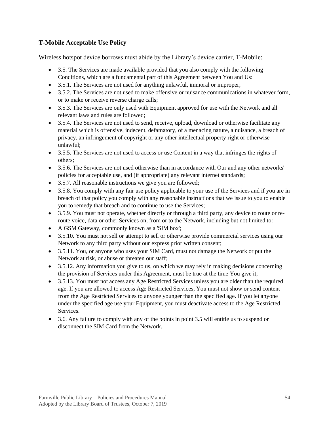#### **T-Mobile Acceptable Use Policy**

Wireless hotspot device borrows must abide by the Library's device carrier, T-Mobile:

- 3.5. The Services are made available provided that you also comply with the following Conditions, which are a fundamental part of this Agreement between You and Us:
- 3.5.1. The Services are not used for anything unlawful, immoral or improper;
- 3.5.2. The Services are not used to make offensive or nuisance communications in whatever form, or to make or receive reverse charge calls;
- 3.5.3. The Services are only used with Equipment approved for use with the Network and all relevant laws and rules are followed;
- 3.5.4. The Services are not used to send, receive, upload, download or otherwise facilitate any material which is offensive, indecent, defamatory, of a menacing nature, a nuisance, a breach of privacy, an infringement of copyright or any other intellectual property right or otherwise unlawful;
- 3.5.5. The Services are not used to access or use Content in a way that infringes the rights of others;
- 3.5.6. The Services are not used otherwise than in accordance with Our and any other networks' policies for acceptable use, and (if appropriate) any relevant internet standards;
- 3.5.7. All reasonable instructions we give you are followed;
- 3.5.8. You comply with any fair use policy applicable to your use of the Services and if you are in breach of that policy you comply with any reasonable instructions that we issue to you to enable you to remedy that breach and to continue to use the Services;
- 3.5.9. You must not operate, whether directly or through a third party, any device to route or reroute voice, data or other Services on, from or to the Network, including but not limited to:
- A GSM Gateway, commonly known as a 'SIM box';
- 3.5.10. You must not sell or attempt to sell or otherwise provide commercial services using our Network to any third party without our express prior written consent;
- 3.5.11. You, or anyone who uses your SIM Card, must not damage the Network or put the Network at risk, or abuse or threaten our staff;
- 3.5.12. Any information you give to us, on which we may rely in making decisions concerning the provision of Services under this Agreement, must be true at the time You give it;
- 3.5.13. You must not access any Age Restricted Services unless you are older than the required age. If you are allowed to access Age Restricted Services, You must not show or send content from the Age Restricted Services to anyone younger than the specified age. If you let anyone under the specified age use your Equipment, you must deactivate access to the Age Restricted Services.
- 3.6. Any failure to comply with any of the points in point 3.5 will entitle us to suspend or disconnect the SIM Card from the Network.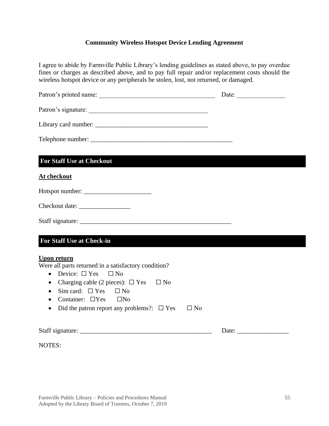#### **Community Wireless Hotspot Device Lending Agreement**

I agree to abide by Farmville Public Library's lending guidelines as stated above, to pay overdue fines or charges as described above, and to pay full repair and/or replacement costs should the wireless hotspot device or any peripherals be stolen, lost, not returned, or damaged.

|                                  | Date: $\frac{1}{\sqrt{1-\frac{1}{2}} \cdot \frac{1}{2}}$ |  |
|----------------------------------|----------------------------------------------------------|--|
| Patron's signature:              |                                                          |  |
|                                  |                                                          |  |
|                                  |                                                          |  |
| <b>For Staff Use at Checkout</b> |                                                          |  |
| At checkout                      |                                                          |  |
| Hotspot number:                  |                                                          |  |
|                                  |                                                          |  |
|                                  |                                                          |  |
| For Staff Use at Check-in        |                                                          |  |
|                                  |                                                          |  |

#### **Upon return**

Were all parts returned in a satisfactory condition?

- Device:  $\Box$  Yes  $\Box$  No
- Charging cable (2 pieces):  $\Box$  Yes  $\Box$  No
- Sim card:  $\Box$  Yes  $\Box$  No
- Container: □Yes □No
- Did the patron report any problems?:  $\Box$  Yes  $\Box$  No

Staff signature: \_\_\_\_\_\_\_\_\_\_\_\_\_\_\_\_\_\_\_\_\_\_\_\_\_\_\_\_\_\_\_\_\_\_\_\_\_\_\_\_\_ Date: \_\_\_\_\_\_\_\_\_\_\_\_\_\_\_\_

NOTES: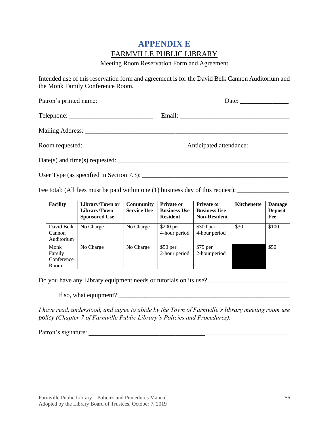# **APPENDIX E** FARMVILLE PUBLIC LIBRARY

#### Meeting Room Reservation Form and Agreement

<span id="page-55-1"></span><span id="page-55-0"></span>Intended use of this reservation form and agreement is for the David Belk Cannon Auditorium and the Monk Family Conference Room.

| Patron's printed name:          |                         |
|---------------------------------|-------------------------|
|                                 |                         |
| Mailing Address: New York 1988. |                         |
|                                 | Anticipated attendance: |
|                                 |                         |

User Type (as specified in Section 7.3):  $\frac{1}{\sqrt{1-\frac{1}{2}}\sqrt{1-\frac{1}{2}}\left(\frac{1}{2}-\frac{1}{2}\right)}$ 

Fee total: (All fees must be paid within one (1) business day of this request): \_\_\_\_\_\_\_\_\_\_\_\_\_\_\_\_\_\_\_\_

| <b>Facility</b>                      | Library/Town or<br>Library/Town<br><b>Sponsored Use</b> | <b>Community</b><br><b>Service Use</b> | <b>Private or</b><br><b>Business Use</b><br><b>Resident</b> | <b>Private or</b><br><b>Business Use</b><br><b>Non-Resident</b> | Kitchenette | <b>Damage</b><br><b>Deposit</b><br>Fee |
|--------------------------------------|---------------------------------------------------------|----------------------------------------|-------------------------------------------------------------|-----------------------------------------------------------------|-------------|----------------------------------------|
| David Belk<br>Cannon<br>Auditorium   | No Charge                                               | No Charge                              | $$200$ per<br>4-hour period                                 | \$300 per<br>4-hour period                                      | \$30        | \$100                                  |
| Monk<br>Family<br>Conference<br>Room | No Charge                                               | No Charge                              | $$50$ per<br>2-hour period                                  | $$75$ per<br>2-hour period                                      |             | \$50                                   |

Do you have any Library equipment needs or tutorials on its use? \_\_\_\_\_\_\_\_\_\_\_\_\_\_\_\_\_\_\_\_\_\_\_\_\_

If so, what equipment?  $\frac{1}{2}$   $\frac{1}{2}$   $\frac{1}{2}$   $\frac{1}{2}$   $\frac{1}{2}$   $\frac{1}{2}$   $\frac{1}{2}$   $\frac{1}{2}$   $\frac{1}{2}$   $\frac{1}{2}$   $\frac{1}{2}$   $\frac{1}{2}$   $\frac{1}{2}$   $\frac{1}{2}$   $\frac{1}{2}$   $\frac{1}{2}$   $\frac{1}{2}$   $\frac{1}{2}$   $\frac{1}{2}$   $\frac{1}{2}$ 

*I have read, understood, and agree to abide by the Town of Farmville's library meeting room use policy (Chapter 7 of Farmville Public Library's Policies and Procedures).*

Patron's signature: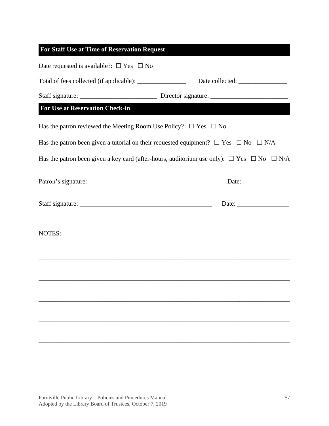| For Staff Use at Time of Reservation Request                               |                                                                                                             |
|----------------------------------------------------------------------------|-------------------------------------------------------------------------------------------------------------|
| Date requested is available?: $\square$ Yes $\square$ No                   |                                                                                                             |
|                                                                            |                                                                                                             |
|                                                                            |                                                                                                             |
| For Use at Reservation Check-in                                            |                                                                                                             |
| Has the patron reviewed the Meeting Room Use Policy?: $\Box$ Yes $\Box$ No |                                                                                                             |
|                                                                            | Has the patron been given a tutorial on their requested equipment? $\square$ Yes $\square$ No $\square$ N/A |
|                                                                            | Has the patron been given a key card (after-hours, auditorium use only): $\Box$ Yes $\Box$ No $\Box$ N/A    |
|                                                                            |                                                                                                             |
|                                                                            |                                                                                                             |
|                                                                            |                                                                                                             |
|                                                                            |                                                                                                             |
|                                                                            |                                                                                                             |
|                                                                            |                                                                                                             |
|                                                                            |                                                                                                             |
|                                                                            |                                                                                                             |
|                                                                            |                                                                                                             |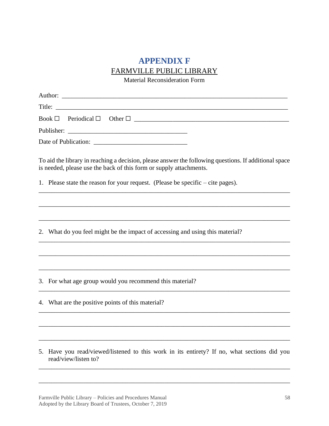# **APPENDIX F** FARMVILLE PUBLIC LIBRARY

Material Reconsideration Form

<span id="page-57-1"></span><span id="page-57-0"></span>

| Title:                                                                                                                                                                      |
|-----------------------------------------------------------------------------------------------------------------------------------------------------------------------------|
| $Book \Box$ Periodical $\Box$ Other $\Box$                                                                                                                                  |
|                                                                                                                                                                             |
| Date of Publication:                                                                                                                                                        |
| To aid the library in reaching a decision, please answer the following questions. If additional space<br>is needed, please use the back of this form or supply attachments. |
| 1. Please state the reason for your request. (Please be specific – cite pages).                                                                                             |
|                                                                                                                                                                             |
|                                                                                                                                                                             |
|                                                                                                                                                                             |
| 2. What do you feel might be the impact of accessing and using this material?                                                                                               |
|                                                                                                                                                                             |
|                                                                                                                                                                             |
|                                                                                                                                                                             |
| 3. For what age group would you recommend this material?                                                                                                                    |
|                                                                                                                                                                             |
| 4. What are the positive points of this material?                                                                                                                           |
|                                                                                                                                                                             |
|                                                                                                                                                                             |
| 5. Have you read/viewed/listened to this work in its entirety? If no, what sections did you<br>read/view/listen to?                                                         |

\_\_\_\_\_\_\_\_\_\_\_\_\_\_\_\_\_\_\_\_\_\_\_\_\_\_\_\_\_\_\_\_\_\_\_\_\_\_\_\_\_\_\_\_\_\_\_\_\_\_\_\_\_\_\_\_\_\_\_\_\_\_\_\_\_\_\_\_\_\_\_\_\_\_\_\_\_\_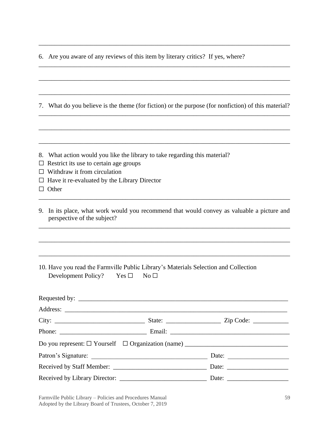6. Are you aware of any reviews of this item by literary critics? If yes, where?

\_\_\_\_\_\_\_\_\_\_\_\_\_\_\_\_\_\_\_\_\_\_\_\_\_\_\_\_\_\_\_\_\_\_\_\_\_\_\_\_\_\_\_\_\_\_\_\_\_\_\_\_\_\_\_\_\_\_\_\_\_\_\_\_\_\_\_\_\_\_\_\_\_\_\_\_\_\_

\_\_\_\_\_\_\_\_\_\_\_\_\_\_\_\_\_\_\_\_\_\_\_\_\_\_\_\_\_\_\_\_\_\_\_\_\_\_\_\_\_\_\_\_\_\_\_\_\_\_\_\_\_\_\_\_\_\_\_\_\_\_\_\_\_\_\_\_\_\_\_\_\_\_\_\_\_\_

\_\_\_\_\_\_\_\_\_\_\_\_\_\_\_\_\_\_\_\_\_\_\_\_\_\_\_\_\_\_\_\_\_\_\_\_\_\_\_\_\_\_\_\_\_\_\_\_\_\_\_\_\_\_\_\_\_\_\_\_\_\_\_\_\_\_\_\_\_\_\_\_\_\_\_\_\_\_

| 7.           |                                                     |                                                                            | What do you believe is the theme (for fiction) or the purpose (for nonfiction) of this material? |
|--------------|-----------------------------------------------------|----------------------------------------------------------------------------|--------------------------------------------------------------------------------------------------|
|              |                                                     |                                                                            |                                                                                                  |
|              |                                                     |                                                                            |                                                                                                  |
|              |                                                     | 8. What action would you like the library to take regarding this material? |                                                                                                  |
| ⊔            | Restrict its use to certain age groups              |                                                                            |                                                                                                  |
|              | $\Box$ Withdraw it from circulation                 |                                                                            |                                                                                                  |
|              | $\Box$ Have it re-evaluated by the Library Director |                                                                            |                                                                                                  |
| $\Box$ Other |                                                     |                                                                            |                                                                                                  |
| 9.           | perspective of the subject?                         |                                                                            | In its place, what work would you recommend that would convey as valuable a picture and          |
|              |                                                     |                                                                            |                                                                                                  |
|              | Yes $\square$<br>Development Policy?                | No <sub>1</sub>                                                            | 10. Have you read the Farmville Public Library's Materials Selection and Collection              |
|              |                                                     |                                                                            |                                                                                                  |
|              |                                                     |                                                                            |                                                                                                  |
|              |                                                     |                                                                            |                                                                                                  |
|              |                                                     |                                                                            |                                                                                                  |
|              |                                                     |                                                                            |                                                                                                  |

Patron's Signature: \_\_\_\_\_\_\_\_\_\_\_\_\_\_\_\_\_\_\_\_\_\_\_\_\_\_\_\_\_\_\_\_\_\_\_\_ Date: \_\_\_\_\_\_\_\_\_\_\_\_\_\_\_\_\_\_\_ Received by Staff Member: \_\_\_\_\_\_\_\_\_\_\_\_\_\_\_\_\_\_\_\_\_\_\_\_\_\_\_\_\_ Date: \_\_\_\_\_\_\_\_\_\_\_\_\_\_\_\_\_\_\_ Received by Library Director: \_\_\_\_\_\_\_\_\_\_\_\_\_\_\_\_\_\_\_\_\_\_\_\_\_\_\_ Date: \_\_\_\_\_\_\_\_\_\_\_\_\_\_\_\_\_\_\_

Farmville Public Library – Policies and Procedures Manual 59 Adopted by the Library Board of Trustees, October 7, 2019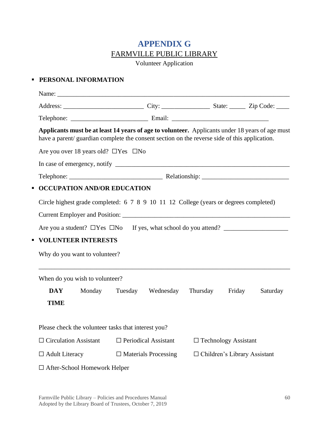# **APPENDIX G** FARMVILLE PUBLIC LIBRARY

Volunteer Application

## <span id="page-59-1"></span><span id="page-59-0"></span>▪ **PERSONAL INFORMATION**

|                                                                                             | Applicants must be at least 14 years of age to volunteer. Applicants under 18 years of age must<br>have a parent/ guardian complete the consent section on the reverse side of this application. |          |                             |          |
|---------------------------------------------------------------------------------------------|--------------------------------------------------------------------------------------------------------------------------------------------------------------------------------------------------|----------|-----------------------------|----------|
| Are you over 18 years old? $\Box$ Yes $\Box$ No                                             |                                                                                                                                                                                                  |          |                             |          |
|                                                                                             |                                                                                                                                                                                                  |          |                             |          |
|                                                                                             |                                                                                                                                                                                                  |          |                             |          |
| <b>OCCUPATION AND/OR EDUCATION</b><br>п                                                     |                                                                                                                                                                                                  |          |                             |          |
|                                                                                             | Circle highest grade completed: 6 7 8 9 10 11 12 College (years or degrees completed)                                                                                                            |          |                             |          |
|                                                                                             |                                                                                                                                                                                                  |          |                             |          |
| <b>VOLUNTEER INTERESTS</b>                                                                  |                                                                                                                                                                                                  |          |                             |          |
| Why do you want to volunteer?                                                               |                                                                                                                                                                                                  |          |                             |          |
| When do you wish to volunteer?                                                              |                                                                                                                                                                                                  |          |                             |          |
| <b>DAY</b><br>Monday<br><b>TIME</b>                                                         | Tuesday Wednesday                                                                                                                                                                                | Thursday | Friday                      | Saturday |
|                                                                                             | Please check the volunteer tasks that interest you?                                                                                                                                              |          |                             |          |
| $\Box$ Circulation Assistant                                                                | $\Box$ Periodical Assistant                                                                                                                                                                      |          | $\Box$ Technology Assistant |          |
| $\Box$ Children's Library Assistant<br>$\Box$ Adult Literacy<br>$\Box$ Materials Processing |                                                                                                                                                                                                  |          |                             |          |
| $\Box$ After-School Homework Helper                                                         |                                                                                                                                                                                                  |          |                             |          |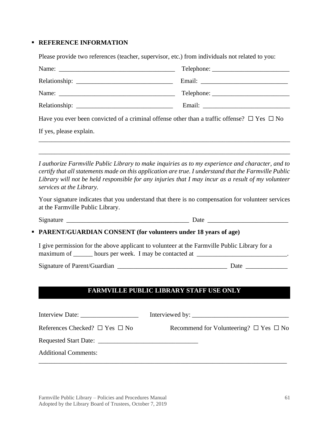# ▪ **REFERENCE INFORMATION**

Please provide two references (teacher, supervisor, etc.) from individuals not related to you:

|                                                                  | Have you ever been convicted of a criminal offense other than a traffic offense? $\Box$ Yes $\Box$ No                                                                                                                                                                                                           |  |  |
|------------------------------------------------------------------|-----------------------------------------------------------------------------------------------------------------------------------------------------------------------------------------------------------------------------------------------------------------------------------------------------------------|--|--|
| If yes, please explain.                                          |                                                                                                                                                                                                                                                                                                                 |  |  |
|                                                                  |                                                                                                                                                                                                                                                                                                                 |  |  |
| services at the Library.                                         | I authorize Farmville Public Library to make inquiries as to my experience and character, and to<br>certify that all statements made on this application are true. I understand that the Farmville Public<br>Library will not be held responsible for any injuries that I may incur as a result of my volunteer |  |  |
| at the Farmville Public Library.                                 | Your signature indicates that you understand that there is no compensation for volunteer services                                                                                                                                                                                                               |  |  |
|                                                                  |                                                                                                                                                                                                                                                                                                                 |  |  |
|                                                                  |                                                                                                                                                                                                                                                                                                                 |  |  |
| • PARENT/GUARDIAN CONSENT (for volunteers under 18 years of age) |                                                                                                                                                                                                                                                                                                                 |  |  |
|                                                                  | I give permission for the above applicant to volunteer at the Farmville Public Library for a<br>maximum of _______ hours per week. I may be contacted at ________________________.                                                                                                                              |  |  |
|                                                                  |                                                                                                                                                                                                                                                                                                                 |  |  |
|                                                                  |                                                                                                                                                                                                                                                                                                                 |  |  |
|                                                                  | <b>FARMVILLE PUBLIC LIBRARY STAFF USE ONLY</b>                                                                                                                                                                                                                                                                  |  |  |
|                                                                  |                                                                                                                                                                                                                                                                                                                 |  |  |
| References Checked? $\square$ Yes $\square$ No                   |                                                                                                                                                                                                                                                                                                                 |  |  |
|                                                                  | Recommend for Volunteering? $\Box$ Yes $\Box$ No                                                                                                                                                                                                                                                                |  |  |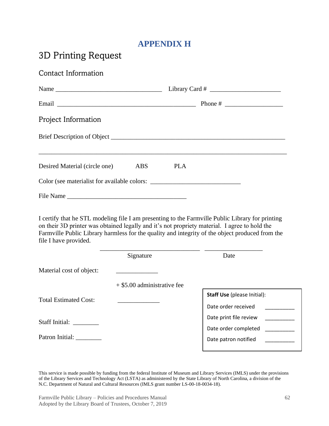# **APPENDIX H**

# <span id="page-61-0"></span>3D Printing Request

| <b>Contact Information</b>                                                                                             |                               |            |                                                                                                                                                                                                     |  |
|------------------------------------------------------------------------------------------------------------------------|-------------------------------|------------|-----------------------------------------------------------------------------------------------------------------------------------------------------------------------------------------------------|--|
|                                                                                                                        |                               |            |                                                                                                                                                                                                     |  |
|                                                                                                                        |                               |            |                                                                                                                                                                                                     |  |
| <b>Project Information</b>                                                                                             |                               |            |                                                                                                                                                                                                     |  |
|                                                                                                                        |                               |            |                                                                                                                                                                                                     |  |
| Desired Material (circle one) ABS                                                                                      |                               | <b>PLA</b> |                                                                                                                                                                                                     |  |
| Color (see materialist for available colors: ___________________________________                                       |                               |            |                                                                                                                                                                                                     |  |
|                                                                                                                        |                               |            |                                                                                                                                                                                                     |  |
| on their 3D printer was obtained legally and it's not propriety material. I agree to hold the<br>file I have provided. |                               |            | I certify that he STL modeling file I am presenting to the Farmville Public Library for printing<br>Farmville Public Library harmless for the quality and integrity of the object produced from the |  |
|                                                                                                                        | Signature                     |            | Date                                                                                                                                                                                                |  |
| Material cost of object:                                                                                               |                               |            |                                                                                                                                                                                                     |  |
|                                                                                                                        | $+$ \$5.00 administrative fee |            |                                                                                                                                                                                                     |  |
| <b>Total Estimated Cost:</b>                                                                                           |                               |            | <b>Staff Use (please Initial):</b>                                                                                                                                                                  |  |
|                                                                                                                        |                               |            | Date order received                                                                                                                                                                                 |  |
| Staff Initial: _________                                                                                               |                               |            | Date print file review                                                                                                                                                                              |  |
| Patron Initial:                                                                                                        |                               |            | Date order completed                                                                                                                                                                                |  |
|                                                                                                                        |                               |            | Date patron notified                                                                                                                                                                                |  |

This service is made possible by funding from the federal Institute of Museum and Library Services (IMLS) under the provisions of the Library Services and Technology Act (LSTA) as administered by the State Library of North Carolina, a division of the N.C. Department of Natural and Cultural Resources (IMLS grant number LS-00-18-0034-18).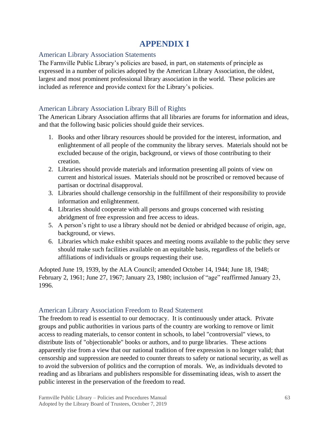# **APPENDIX I**

## <span id="page-62-1"></span><span id="page-62-0"></span>American Library Association Statements

The Farmville Public Library's policies are based, in part, on statements of principle as expressed in a number of policies adopted by the American Library Association, the oldest, largest and most prominent professional library association in the world. These policies are included as reference and provide context for the Library's policies.

# <span id="page-62-2"></span>American Library Association Library Bill of Rights

The American Library Association affirms that all libraries are forums for information and ideas, and that the following basic policies should guide their services.

- 1. Books and other library resources should be provided for the interest, information, and enlightenment of all people of the community the library serves. Materials should not be excluded because of the origin, background, or views of those contributing to their creation.
- 2. Libraries should provide materials and information presenting all points of view on current and historical issues. Materials should not be proscribed or removed because of partisan or doctrinal disapproval.
- 3. Libraries should challenge censorship in the fulfillment of their responsibility to provide information and enlightenment.
- 4. Libraries should cooperate with all persons and groups concerned with resisting abridgment of free expression and free access to ideas.
- 5. A person's right to use a library should not be denied or abridged because of origin, age, background, or views.
- 6. Libraries which make exhibit spaces and meeting rooms available to the public they serve should make such facilities available on an equitable basis, regardless of the beliefs or affiliations of individuals or groups requesting their use.

Adopted June 19, 1939, by the ALA Council; amended October 14, 1944; June 18, 1948; February 2, 1961; June 27, 1967; January 23, 1980; inclusion of "age" reaffirmed January 23, 1996.

## <span id="page-62-3"></span>American Library Association Freedom to Read Statement

The freedom to read is essential to our democracy. It is continuously under attack. Private groups and public authorities in various parts of the country are working to remove or limit access to reading materials, to censor content in schools, to label "controversial" views, to distribute lists of "objectionable" books or authors, and to purge libraries. These actions apparently rise from a view that our national tradition of free expression is no longer valid; that censorship and suppression are needed to counter threats to safety or national security, as well as to avoid the subversion of politics and the corruption of morals. We, as individuals devoted to reading and as librarians and publishers responsible for disseminating ideas, wish to assert the public interest in the preservation of the freedom to read.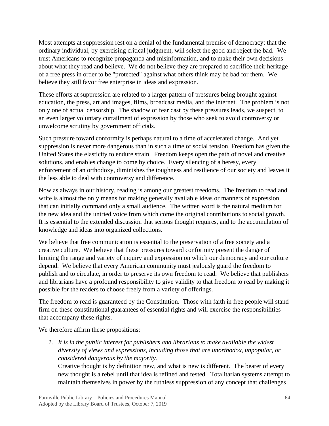Most attempts at suppression rest on a denial of the fundamental premise of democracy: that the ordinary individual, by exercising critical judgment, will select the good and reject the bad. We trust Americans to recognize propaganda and misinformation, and to make their own decisions about what they read and believe. We do not believe they are prepared to sacrifice their heritage of a free press in order to be "protected" against what others think may be bad for them. We believe they still favor free enterprise in ideas and expression.

These efforts at suppression are related to a larger pattern of pressures being brought against education, the press, art and images, films, broadcast media, and the internet. The problem is not only one of actual censorship. The shadow of fear cast by these pressures leads, we suspect, to an even larger voluntary curtailment of expression by those who seek to avoid controversy or unwelcome scrutiny by government officials.

Such pressure toward conformity is perhaps natural to a time of accelerated change. And yet suppression is never more dangerous than in such a time of social tension. Freedom has given the United States the elasticity to endure strain. Freedom keeps open the path of novel and creative solutions, and enables change to come by choice. Every silencing of a heresy, every enforcement of an orthodoxy, diminishes the toughness and resilience of our society and leaves it the less able to deal with controversy and difference.

Now as always in our history, reading is among our greatest freedoms. The freedom to read and write is almost the only means for making generally available ideas or manners of expression that can initially command only a small audience. The written word is the natural medium for the new idea and the untried voice from which come the original contributions to social growth. It is essential to the extended discussion that serious thought requires, and to the accumulation of knowledge and ideas into organized collections.

We believe that free communication is essential to the preservation of a free society and a creative culture. We believe that these pressures toward conformity present the danger of limiting the range and variety of inquiry and expression on which our democracy and our culture depend. We believe that every American community must jealously guard the freedom to publish and to circulate, in order to preserve its own freedom to read. We believe that publishers and librarians have a profound responsibility to give validity to that freedom to read by making it possible for the readers to choose freely from a variety of offerings.

The freedom to read is guaranteed by the Constitution. Those with faith in free people will stand firm on these constitutional guarantees of essential rights and will exercise the responsibilities that accompany these rights.

We therefore affirm these propositions:

*1. It is in the public interest for publishers and librarians to make available the widest diversity of views and expressions, including those that are unorthodox, unpopular, or considered dangerous by the majority.*

Creative thought is by definition new, and what is new is different. The bearer of every new thought is a rebel until that idea is refined and tested. Totalitarian systems attempt to maintain themselves in power by the ruthless suppression of any concept that challenges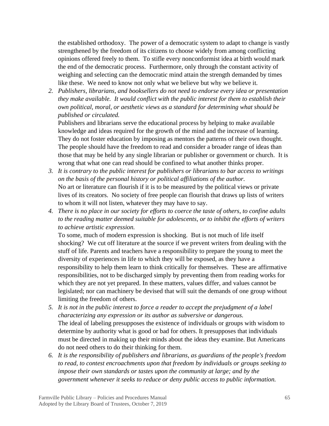the established orthodoxy. The power of a democratic system to adapt to change is vastly strengthened by the freedom of its citizens to choose widely from among conflicting opinions offered freely to them. To stifle every nonconformist idea at birth would mark the end of the democratic process. Furthermore, only through the constant activity of weighing and selecting can the democratic mind attain the strength demanded by times like these. We need to know not only what we believe but why we believe it.

*2. Publishers, librarians, and booksellers do not need to endorse every idea or presentation they make available. It would conflict with the public interest for them to establish their own political, moral, or aesthetic views as a standard for determining what should be published or circulated.*

Publishers and librarians serve the educational process by helping to make available knowledge and ideas required for the growth of the mind and the increase of learning. They do not foster education by imposing as mentors the patterns of their own thought. The people should have the freedom to read and consider a broader range of ideas than those that may be held by any single librarian or publisher or government or church. It is wrong that what one can read should be confined to what another thinks proper.

- *3. It is contrary to the public interest for publishers or librarians to bar access to writings on the basis of the personal history or political affiliations of the author.* No art or literature can flourish if it is to be measured by the political views or private lives of its creators. No society of free people can flourish that draws up lists of writers to whom it will not listen, whatever they may have to say.
- *4. There is no place in our society for efforts to coerce the taste of others, to confine adults to the reading matter deemed suitable for adolescents, or to inhibit the efforts of writers to achieve artistic expression.*

To some, much of modern expression is shocking. But is not much of life itself shocking? We cut off literature at the source if we prevent writers from dealing with the stuff of life. Parents and teachers have a responsibility to prepare the young to meet the diversity of experiences in life to which they will be exposed, as they have a responsibility to help them learn to think critically for themselves. These are affirmative responsibilities, not to be discharged simply by preventing them from reading works for which they are not yet prepared. In these matters, values differ, and values cannot be legislated; nor can machinery be devised that will suit the demands of one group without limiting the freedom of others.

- *5. It is not in the public interest to force a reader to accept the prejudgment of a label characterizing any expression or its author as subversive or dangerous.* The ideal of labeling presupposes the existence of individuals or groups with wisdom to determine by authority what is good or bad for others. It presupposes that individuals must be directed in making up their minds about the ideas they examine. But Americans do not need others to do their thinking for them.
- *6. It is the responsibility of publishers and librarians, as guardians of the people's freedom to read, to contest encroachments upon that freedom by individuals or groups seeking to impose their own standards or tastes upon the community at large; and by the government whenever it seeks to reduce or deny public access to public information.*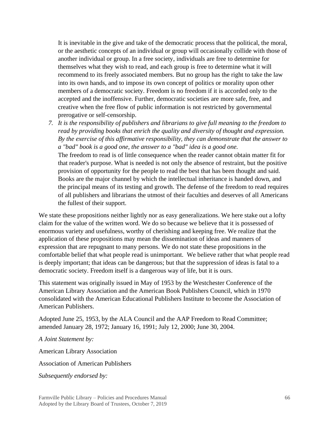It is inevitable in the give and take of the democratic process that the political, the moral, or the aesthetic concepts of an individual or group will occasionally collide with those of another individual or group. In a free society, individuals are free to determine for themselves what they wish to read, and each group is free to determine what it will recommend to its freely associated members. But no group has the right to take the law into its own hands, and to impose its own concept of politics or morality upon other members of a democratic society. Freedom is no freedom if it is accorded only to the accepted and the inoffensive. Further, democratic societies are more safe, free, and creative when the free flow of public information is not restricted by governmental prerogative or self-censorship.

*7. It is the responsibility of publishers and librarians to give full meaning to the freedom to read by providing books that enrich the quality and diversity of thought and expression. By the exercise of this affirmative responsibility, they can demonstrate that the answer to a "bad" book is a good one, the answer to a "bad" idea is a good one.*

The freedom to read is of little consequence when the reader cannot obtain matter fit for that reader's purpose. What is needed is not only the absence of restraint, but the positive provision of opportunity for the people to read the best that has been thought and said. Books are the major channel by which the intellectual inheritance is handed down, and the principal means of its testing and growth. The defense of the freedom to read requires of all publishers and librarians the utmost of their faculties and deserves of all Americans the fullest of their support.

We state these propositions neither lightly nor as easy generalizations. We here stake out a lofty claim for the value of the written word. We do so because we believe that it is possessed of enormous variety and usefulness, worthy of cherishing and keeping free. We realize that the application of these propositions may mean the dissemination of ideas and manners of expression that are repugnant to many persons. We do not state these propositions in the comfortable belief that what people read is unimportant. We believe rather that what people read is deeply important; that ideas can be dangerous; but that the suppression of ideas is fatal to a democratic society. Freedom itself is a dangerous way of life, but it is ours.

This statement was originally issued in May of 1953 by the Westchester Conference of the American Library Association and the American Book Publishers Council, which in 1970 consolidated with the American Educational Publishers Institute to become the Association of American Publishers.

Adopted June 25, 1953, by the ALA Council and the AAP Freedom to Read Committee; amended January 28, 1972; January 16, 1991; July 12, 2000; June 30, 2004.

*A Joint Statement by:*

American Library Association

Association of American Publishers

*Subsequently endorsed by:*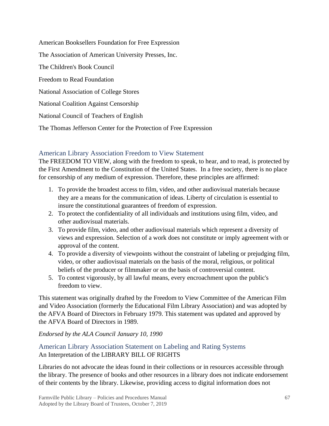American Booksellers Foundation for Free Expression The Association of American University Presses, Inc. The Children's Book Council Freedom to Read Foundation National Association of College Stores National Coalition Against Censorship National Council of Teachers of English

The Thomas Jefferson Center for the Protection of Free Expression

# <span id="page-66-0"></span>American Library Association Freedom to View Statement

The FREEDOM TO VIEW, along with the freedom to speak, to hear, and to read, is protected by the First Amendment to the Constitution of the United States. In a free society, there is no place for censorship of any medium of expression. Therefore, these principles are affirmed:

- 1. To provide the broadest access to film, video, and other audiovisual materials because they are a means for the communication of ideas. Liberty of circulation is essential to insure the constitutional guarantees of freedom of expression.
- 2. To protect the confidentiality of all individuals and institutions using film, video, and other audiovisual materials.
- 3. To provide film, video, and other audiovisual materials which represent a diversity of views and expression. Selection of a work does not constitute or imply agreement with or approval of the content.
- 4. To provide a diversity of viewpoints without the constraint of labeling or prejudging film, video, or other audiovisual materials on the basis of the moral, religious, or political beliefs of the producer or filmmaker or on the basis of controversial content.
- 5. To contest vigorously, by all lawful means, every encroachment upon the public's freedom to view.

This statement was originally drafted by the Freedom to View Committee of the American Film and Video Association (formerly the Educational Film Library Association) and was adopted by the AFVA Board of Directors in February 1979. This statement was updated and approved by the AFVA Board of Directors in 1989.

#### *Endorsed by the ALA Council January 10, 1990*

## <span id="page-66-1"></span>American Library Association Statement on Labeling and Rating Systems An Interpretation of the LIBRARY BILL OF RIGHTS

Libraries do not advocate the ideas found in their collections or in resources accessible through the library. The presence of books and other resources in a library does not indicate endorsement of their contents by the library. Likewise, providing access to digital information does not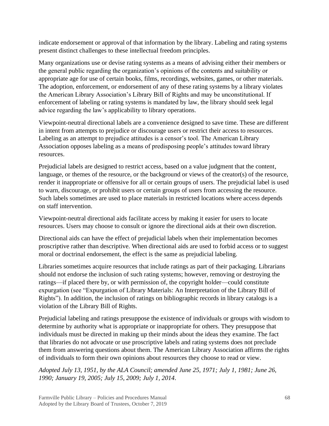indicate endorsement or approval of that information by the library. Labeling and rating systems present distinct challenges to these intellectual freedom principles.

Many organizations use or devise rating systems as a means of advising either their members or the general public regarding the organization's opinions of the contents and suitability or appropriate age for use of certain books, films, recordings, websites, games, or other materials. The adoption, enforcement, or endorsement of any of these rating systems by a library violates the American Library Association's Library Bill of Rights and may be unconstitutional. If enforcement of labeling or rating systems is mandated by law, the library should seek legal advice regarding the law's applicability to library operations.

Viewpoint-neutral directional labels are a convenience designed to save time. These are different in intent from attempts to prejudice or discourage users or restrict their access to resources. Labeling as an attempt to prejudice attitudes is a censor's tool. The American Library Association opposes labeling as a means of predisposing people's attitudes toward library resources.

Prejudicial labels are designed to restrict access, based on a value judgment that the content, language, or themes of the resource, or the background or views of the creator(s) of the resource, render it inappropriate or offensive for all or certain groups of users. The prejudicial label is used to warn, discourage, or prohibit users or certain groups of users from accessing the resource. Such labels sometimes are used to place materials in restricted locations where access depends on staff intervention.

Viewpoint-neutral directional aids facilitate access by making it easier for users to locate resources. Users may choose to consult or ignore the directional aids at their own discretion.

Directional aids can have the effect of prejudicial labels when their implementation becomes proscriptive rather than descriptive. When directional aids are used to forbid access or to suggest moral or doctrinal endorsement, the effect is the same as prejudicial labeling.

Libraries sometimes acquire resources that include ratings as part of their packaging. Librarians should not endorse the inclusion of such rating systems; however, removing or destroying the ratings—if placed there by, or with permission of, the copyright holder—could constitute expurgation (see "Expurgation of Library Materials: An Interpretation of the Library Bill of Rights"). In addition, the inclusion of ratings on bibliographic records in library catalogs is a violation of the Library Bill of Rights.

Prejudicial labeling and ratings presuppose the existence of individuals or groups with wisdom to determine by authority what is appropriate or inappropriate for others. They presuppose that individuals must be directed in making up their minds about the ideas they examine. The fact that libraries do not advocate or use proscriptive labels and rating systems does not preclude them from answering questions about them. The American Library Association affirms the rights of individuals to form their own opinions about resources they choose to read or view.

*Adopted July 13, 1951, by the ALA Council; amended June 25, 1971; July 1, 1981; June 26, 1990; January 19, 2005; July 15, 2009; July 1, 2014.*